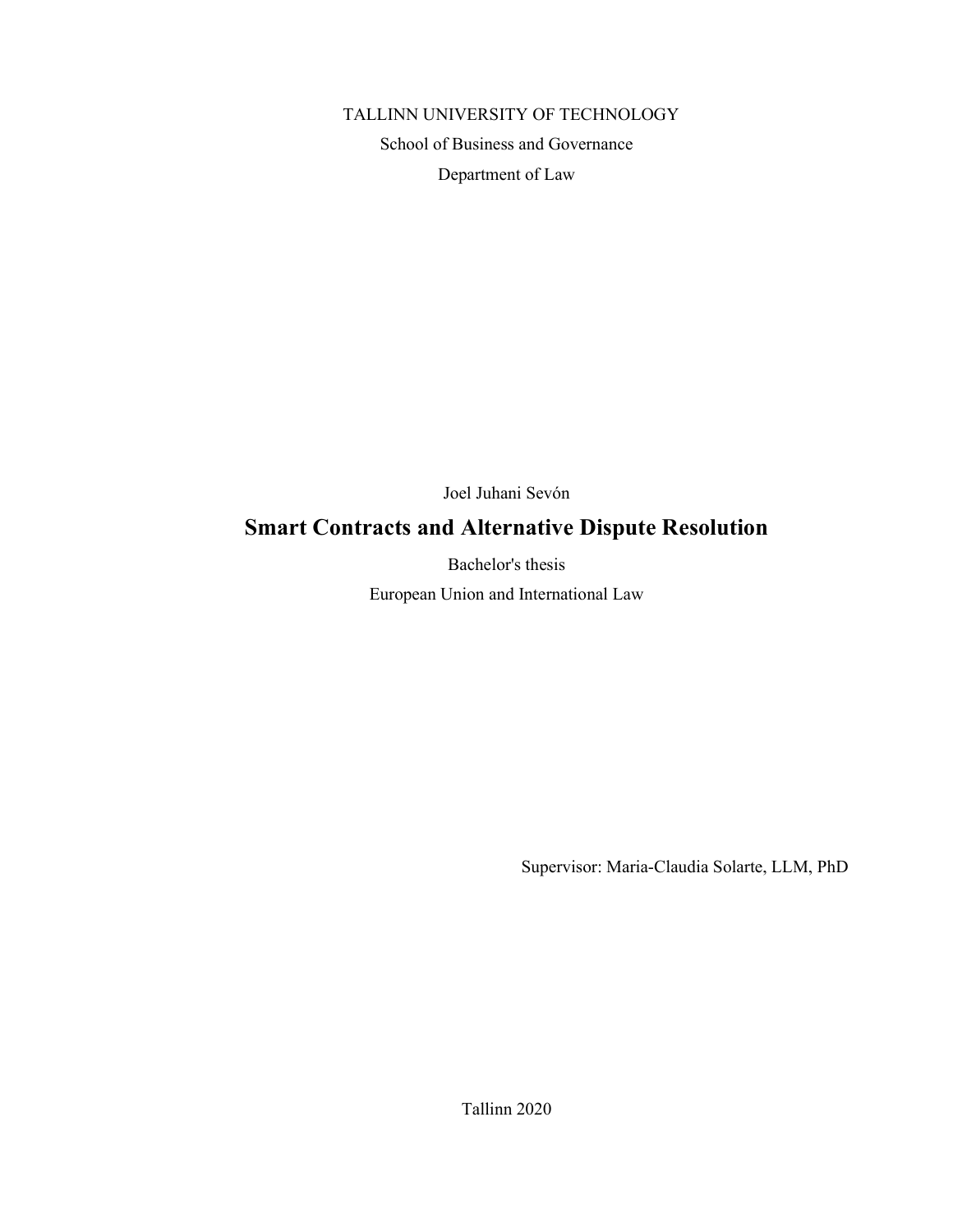# TALLINN UNIVERSITY OF TECHNOLOGY

School of Business and Governance Department of Law

Joel Juhani Sevón

# Smart Contracts and Alternative Dispute Resolution

Bachelor's thesis

European Union and International Law

Supervisor: Maria-Claudia Solarte, LLM, PhD

Tallinn 2020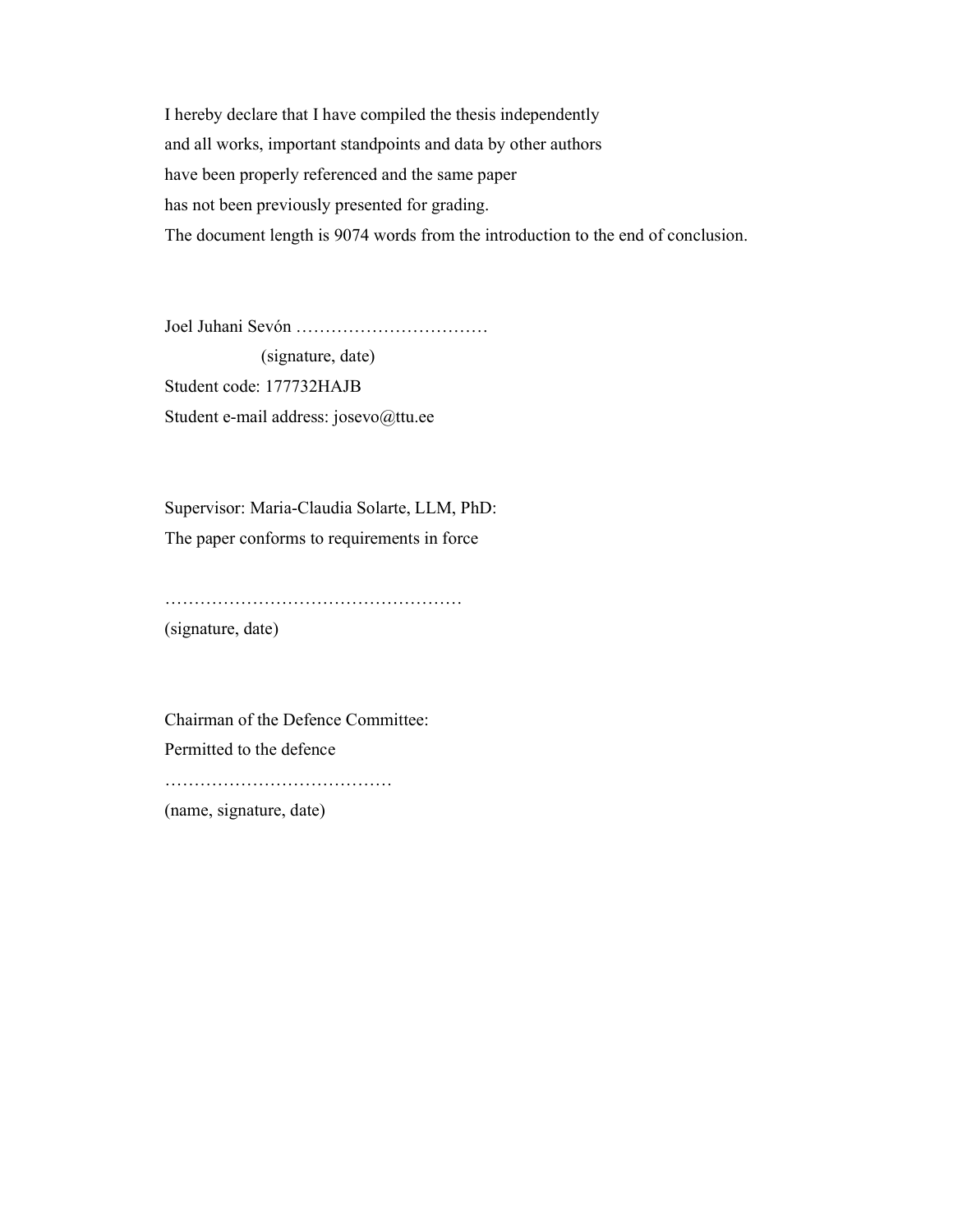I hereby declare that I have compiled the thesis independently and all works, important standpoints and data by other authors have been properly referenced and the same paper has not been previously presented for grading. The document length is 9074 words from the introduction to the end of conclusion.

Joel Juhani Sevón ……………………………

 (signature, date) Student code: 177732HAJB Student e-mail address: josevo@ttu.ee

Supervisor: Maria-Claudia Solarte, LLM, PhD: The paper conforms to requirements in force

…………………………………………… (signature, date)

Chairman of the Defence Committee: Permitted to the defence …………………………………

(name, signature, date)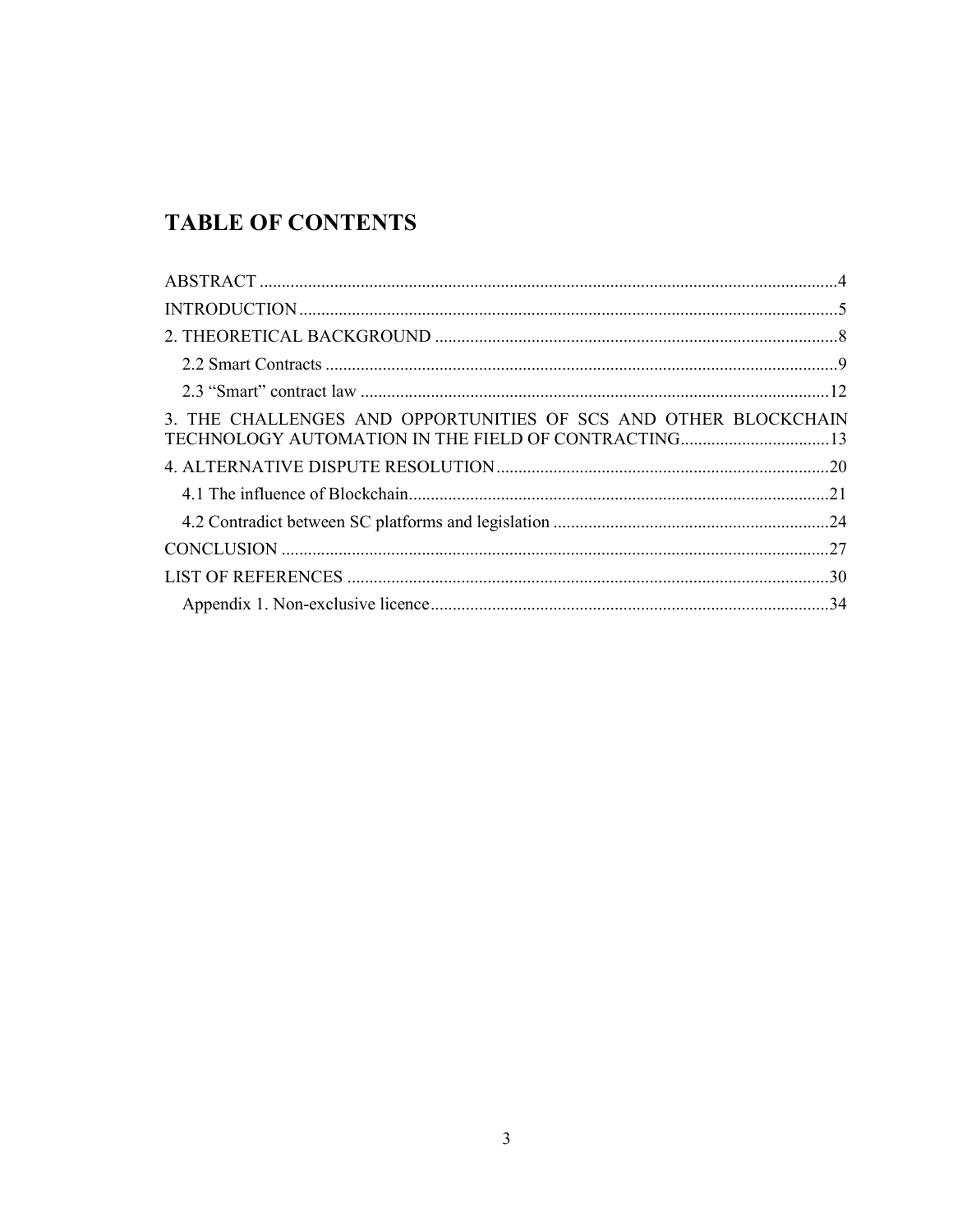# **TABLE OF CONTENTS**

| 3. THE CHALLENGES AND OPPORTUNITIES OF SCS AND OTHER BLOCKCHAIN<br>TECHNOLOGY AUTOMATION IN THE FIELD OF CONTRACTING13 |  |
|------------------------------------------------------------------------------------------------------------------------|--|
|                                                                                                                        |  |
|                                                                                                                        |  |
|                                                                                                                        |  |
|                                                                                                                        |  |
|                                                                                                                        |  |
|                                                                                                                        |  |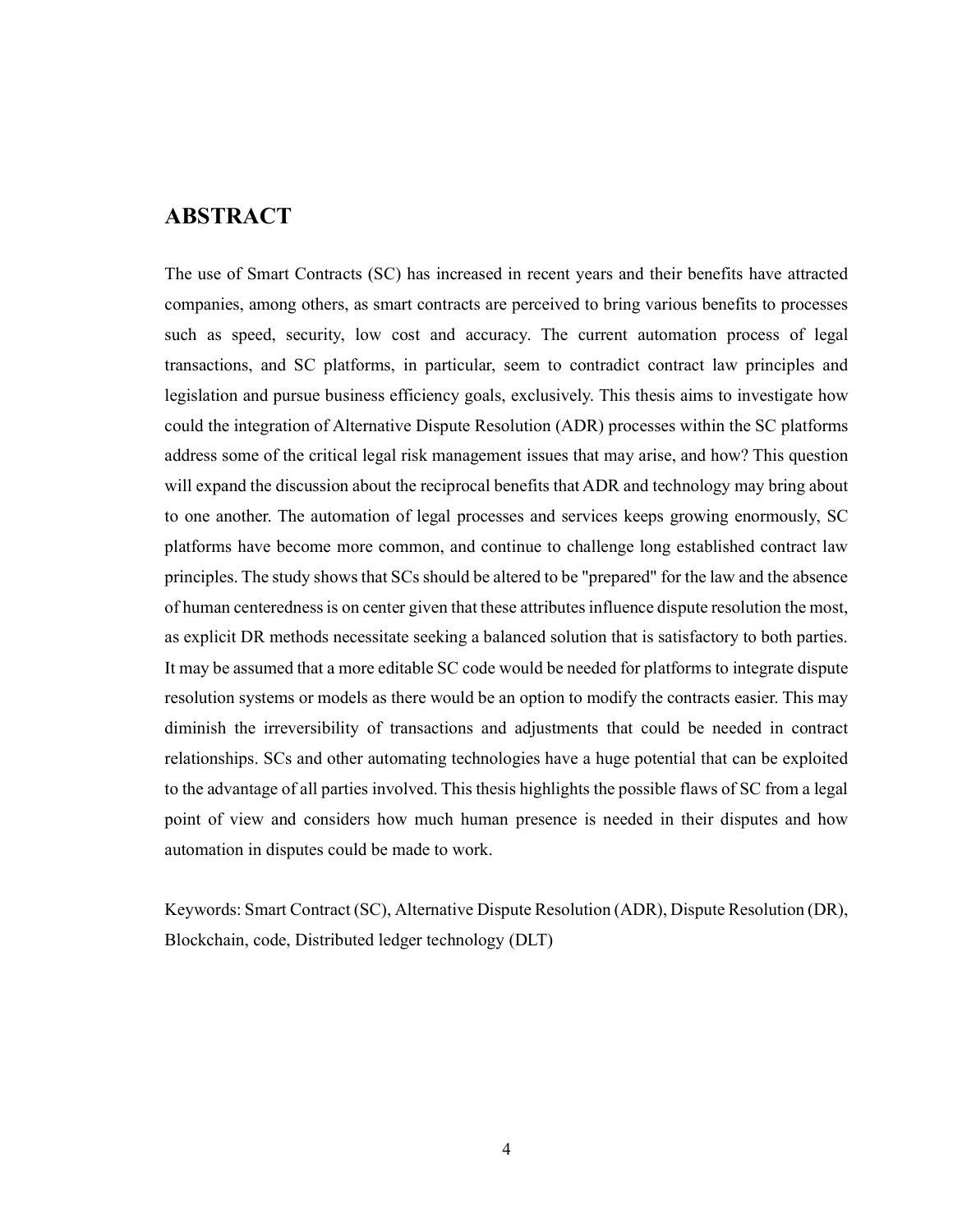## ABSTRACT

The use of Smart Contracts (SC) has increased in recent years and their benefits have attracted companies, among others, as smart contracts are perceived to bring various benefits to processes such as speed, security, low cost and accuracy. The current automation process of legal transactions, and SC platforms, in particular, seem to contradict contract law principles and legislation and pursue business efficiency goals, exclusively. This thesis aims to investigate how could the integration of Alternative Dispute Resolution (ADR) processes within the SC platforms address some of the critical legal risk management issues that may arise, and how? This question will expand the discussion about the reciprocal benefits that ADR and technology may bring about to one another. The automation of legal processes and services keeps growing enormously, SC platforms have become more common, and continue to challenge long established contract law principles. The study shows that SCs should be altered to be "prepared" for the law and the absence of human centeredness is on center given that these attributes influence dispute resolution the most, as explicit DR methods necessitate seeking a balanced solution that is satisfactory to both parties. It may be assumed that a more editable SC code would be needed for platforms to integrate dispute resolution systems or models as there would be an option to modify the contracts easier. This may diminish the irreversibility of transactions and adjustments that could be needed in contract relationships. SCs and other automating technologies have a huge potential that can be exploited to the advantage of all parties involved. This thesis highlights the possible flaws of SC from a legal point of view and considers how much human presence is needed in their disputes and how automation in disputes could be made to work.

Keywords: Smart Contract (SC), Alternative Dispute Resolution (ADR), Dispute Resolution (DR), Blockchain, code, Distributed ledger technology (DLT)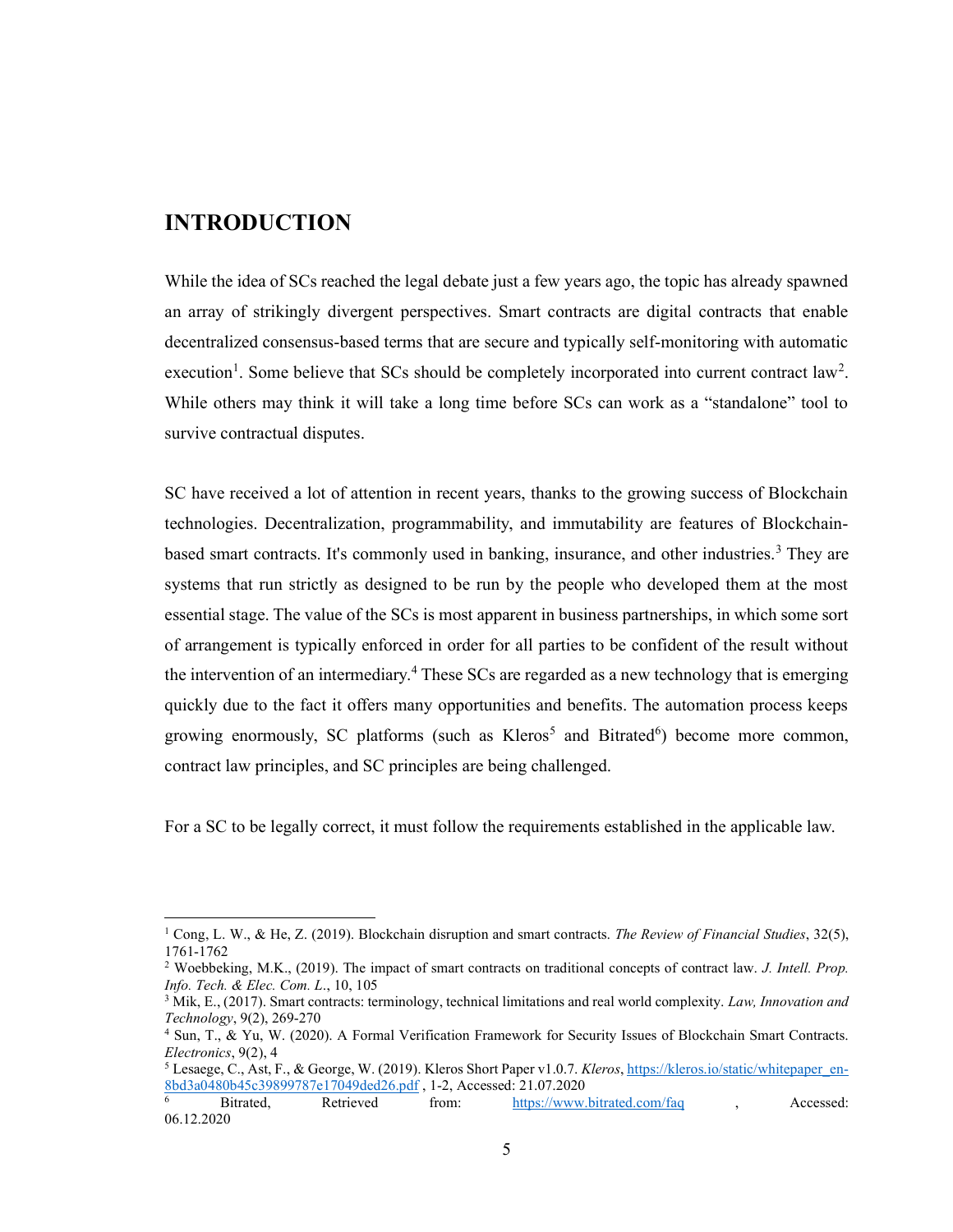## INTRODUCTION

While the idea of SCs reached the legal debate just a few years ago, the topic has already spawned an array of strikingly divergent perspectives. Smart contracts are digital contracts that enable decentralized consensus-based terms that are secure and typically self-monitoring with automatic execution<sup>1</sup>. Some believe that SCs should be completely incorporated into current contract law<sup>2</sup>. While others may think it will take a long time before SCs can work as a "standalone" tool to survive contractual disputes.

SC have received a lot of attention in recent years, thanks to the growing success of Blockchain technologies. Decentralization, programmability, and immutability are features of Blockchainbased smart contracts. It's commonly used in banking, insurance, and other industries.<sup>3</sup> They are systems that run strictly as designed to be run by the people who developed them at the most essential stage. The value of the SCs is most apparent in business partnerships, in which some sort of arrangement is typically enforced in order for all parties to be confident of the result without the intervention of an intermediary.<sup>4</sup> These SCs are regarded as a new technology that is emerging quickly due to the fact it offers many opportunities and benefits. The automation process keeps growing enormously, SC platforms (such as Kleros<sup>5</sup> and Bitrated<sup>6</sup>) become more common, contract law principles, and SC principles are being challenged.

For a SC to be legally correct, it must follow the requirements established in the applicable law.

<sup>&</sup>lt;sup>1</sup> Cong, L. W., & He, Z. (2019). Blockchain disruption and smart contracts. The Review of Financial Studies, 32(5), 1761-1762

<sup>&</sup>lt;sup>2</sup> Woebbeking, M.K., (2019). The impact of smart contracts on traditional concepts of contract law. *J. Intell. Prop.* Info. Tech. & Elec. Com. L., 10, 105

<sup>&</sup>lt;sup>3</sup> Mik, E., (2017). Smart contracts: terminology, technical limitations and real world complexity. Law, Innovation and Technology, 9(2), 269-270

<sup>4</sup> Sun, T., & Yu, W. (2020). A Formal Verification Framework for Security Issues of Blockchain Smart Contracts. Electronics, 9(2), 4

 $^5$  Lesaege, C., Ast, F., & George, W. (2019). Kleros Short Paper v1.0.7. Kleros, https://kleros.io/static/whitepaper\_en- $\frac{8bd3a0480b45c39899787e17049ded26.pdf}{\text{Bitrated.}}$ , 1-2, Accessed: 21.07.2020

<sup>6</sup> from: https://www.bitrated.com/faq , Accessed: 06.12.2020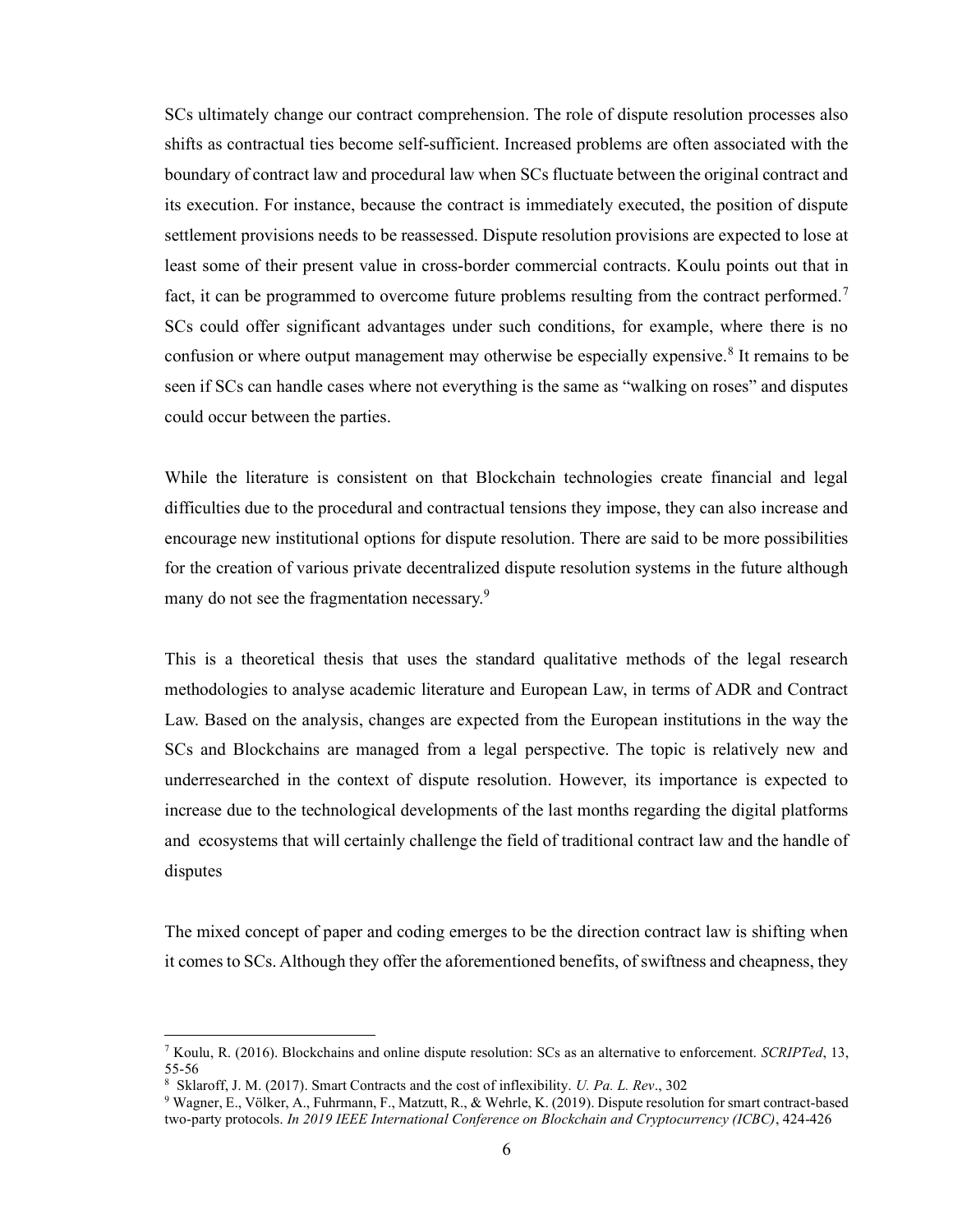SCs ultimately change our contract comprehension. The role of dispute resolution processes also shifts as contractual ties become self-sufficient. Increased problems are often associated with the boundary of contract law and procedural law when SCs fluctuate between the original contract and its execution. For instance, because the contract is immediately executed, the position of dispute settlement provisions needs to be reassessed. Dispute resolution provisions are expected to lose at least some of their present value in cross-border commercial contracts. Koulu points out that in fact, it can be programmed to overcome future problems resulting from the contract performed.<sup>7</sup> SCs could offer significant advantages under such conditions, for example, where there is no confusion or where output management may otherwise be especially expensive.<sup>8</sup> It remains to be seen if SCs can handle cases where not everything is the same as "walking on roses" and disputes could occur between the parties.

While the literature is consistent on that Blockchain technologies create financial and legal difficulties due to the procedural and contractual tensions they impose, they can also increase and encourage new institutional options for dispute resolution. There are said to be more possibilities for the creation of various private decentralized dispute resolution systems in the future although many do not see the fragmentation necessary.<sup>9</sup>

This is a theoretical thesis that uses the standard qualitative methods of the legal research methodologies to analyse academic literature and European Law, in terms of ADR and Contract Law. Based on the analysis, changes are expected from the European institutions in the way the SCs and Blockchains are managed from a legal perspective. The topic is relatively new and underresearched in the context of dispute resolution. However, its importance is expected to increase due to the technological developments of the last months regarding the digital platforms and ecosystems that will certainly challenge the field of traditional contract law and the handle of disputes

The mixed concept of paper and coding emerges to be the direction contract law is shifting when it comes to SCs. Although they offer the aforementioned benefits, of swiftness and cheapness, they

<sup>&</sup>lt;sup>7</sup> Koulu, R. (2016). Blockchains and online dispute resolution: SCs as an alternative to enforcement. SCRIPTed, 13, 55-56

<sup>8</sup> Sklaroff, J. M. (2017). Smart Contracts and the cost of inflexibility. U. Pa. L. Rev., 302

<sup>9</sup> Wagner, E., Völker, A., Fuhrmann, F., Matzutt, R., & Wehrle, K. (2019). Dispute resolution for smart contract-based two-party protocols. In 2019 IEEE International Conference on Blockchain and Cryptocurrency (ICBC), 424-426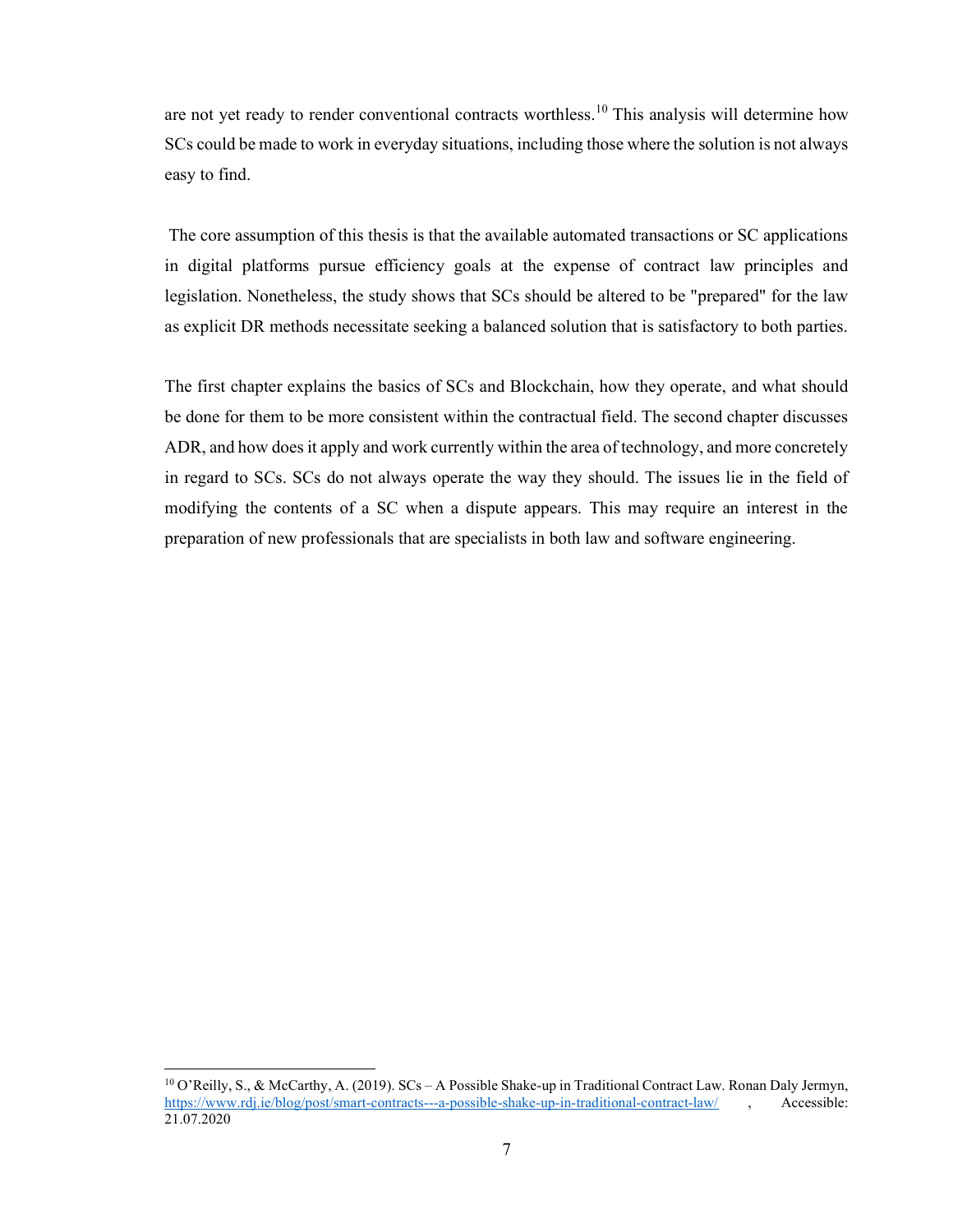are not yet ready to render conventional contracts worthless.<sup>10</sup> This analysis will determine how SCs could be made to work in everyday situations, including those where the solution is not always easy to find.

 The core assumption of this thesis is that the available automated transactions or SC applications in digital platforms pursue efficiency goals at the expense of contract law principles and legislation. Nonetheless, the study shows that SCs should be altered to be "prepared" for the law as explicit DR methods necessitate seeking a balanced solution that is satisfactory to both parties.

The first chapter explains the basics of SCs and Blockchain, how they operate, and what should be done for them to be more consistent within the contractual field. The second chapter discusses ADR, and how does it apply and work currently within the area of technology, and more concretely in regard to SCs. SCs do not always operate the way they should. The issues lie in the field of modifying the contents of a SC when a dispute appears. This may require an interest in the preparation of new professionals that are specialists in both law and software engineering.

<sup>10</sup> O'Reilly, S., & McCarthy, A. (2019). SCs – A Possible Shake-up in Traditional Contract Law. Ronan Daly Jermyn, https://www.rdj.ie/blog/post/smart-contracts---a-possible-shake-up-in-traditional-contract-law/ , Accessible: 21.07.2020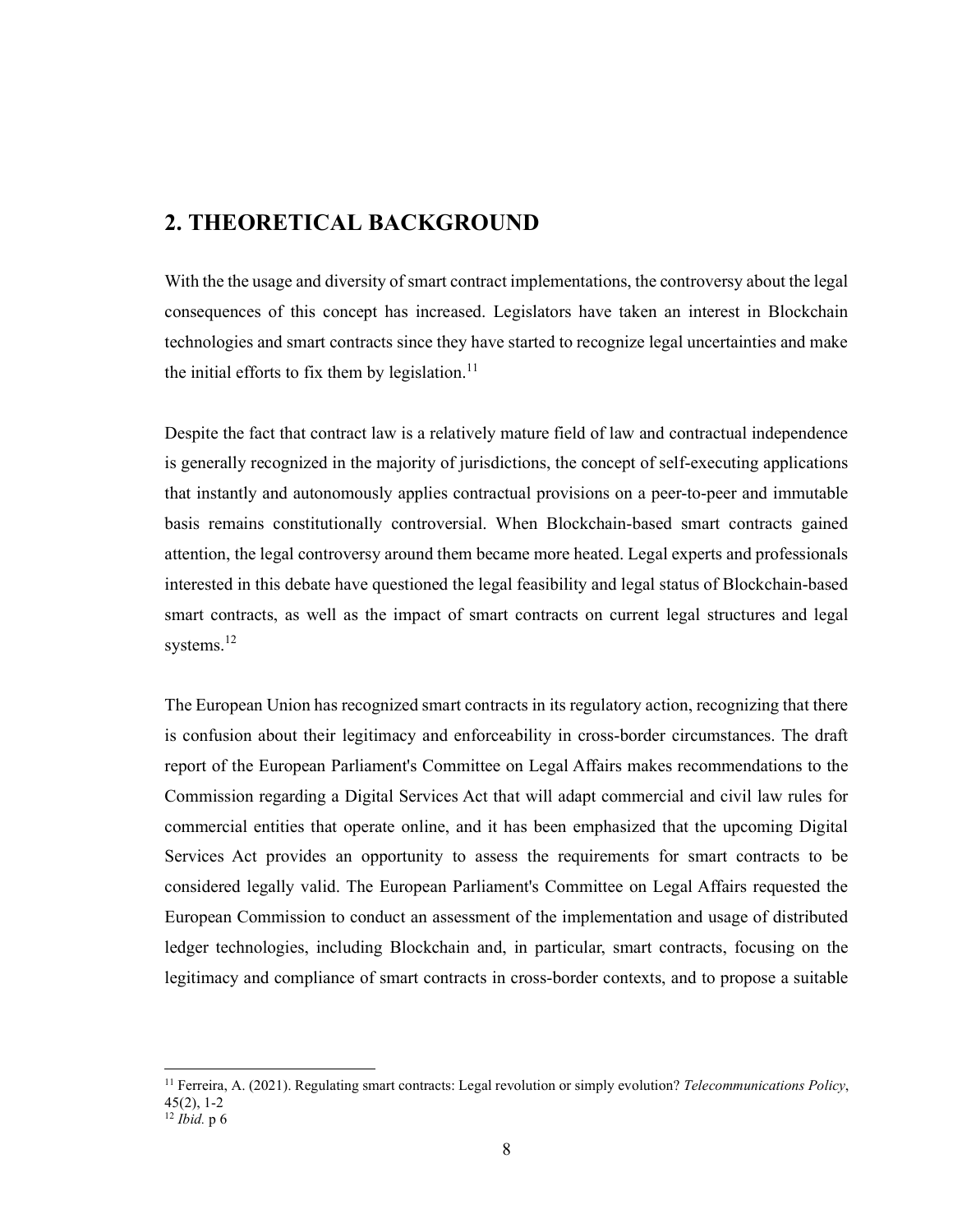## 2. THEORETICAL BACKGROUND

With the the usage and diversity of smart contract implementations, the controversy about the legal consequences of this concept has increased. Legislators have taken an interest in Blockchain technologies and smart contracts since they have started to recognize legal uncertainties and make the initial efforts to fix them by legislation.<sup>11</sup>

Despite the fact that contract law is a relatively mature field of law and contractual independence is generally recognized in the majority of jurisdictions, the concept of self-executing applications that instantly and autonomously applies contractual provisions on a peer-to-peer and immutable basis remains constitutionally controversial. When Blockchain-based smart contracts gained attention, the legal controversy around them became more heated. Legal experts and professionals interested in this debate have questioned the legal feasibility and legal status of Blockchain-based smart contracts, as well as the impact of smart contracts on current legal structures and legal systems.<sup>12</sup>

The European Union has recognized smart contracts in its regulatory action, recognizing that there is confusion about their legitimacy and enforceability in cross-border circumstances. The draft report of the European Parliament's Committee on Legal Affairs makes recommendations to the Commission regarding a Digital Services Act that will adapt commercial and civil law rules for commercial entities that operate online, and it has been emphasized that the upcoming Digital Services Act provides an opportunity to assess the requirements for smart contracts to be considered legally valid. The European Parliament's Committee on Legal Affairs requested the European Commission to conduct an assessment of the implementation and usage of distributed ledger technologies, including Blockchain and, in particular, smart contracts, focusing on the legitimacy and compliance of smart contracts in cross-border contexts, and to propose a suitable

<sup>&</sup>lt;sup>11</sup> Ferreira, A. (2021). Regulating smart contracts: Legal revolution or simply evolution? Telecommunications Policy, 45(2), 1-2

 $12$  *Ibid.* p 6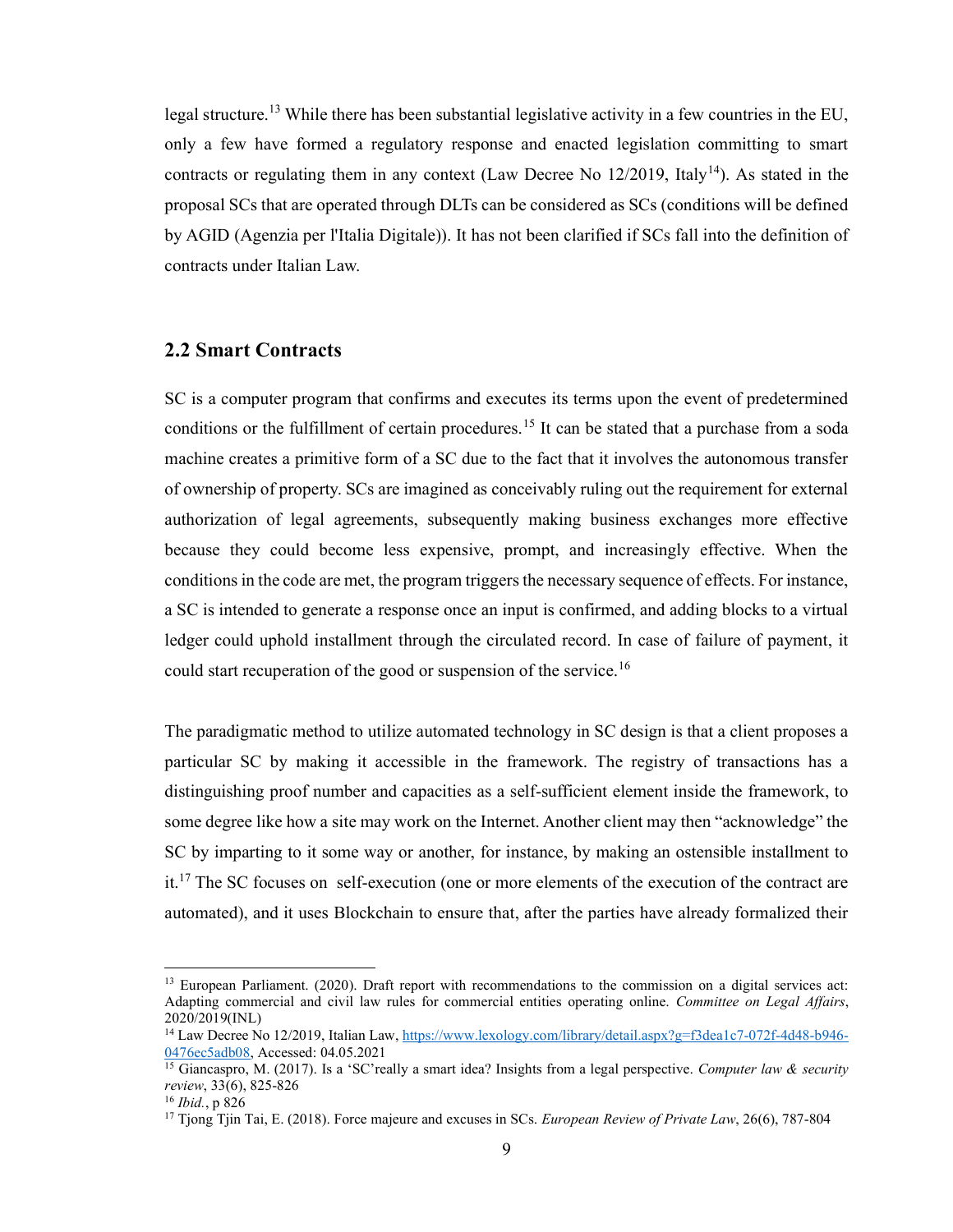legal structure.<sup>13</sup> While there has been substantial legislative activity in a few countries in the EU, only a few have formed a regulatory response and enacted legislation committing to smart contracts or regulating them in any context (Law Decree No  $12/2019$ , Italy<sup>14</sup>). As stated in the proposal SCs that are operated through DLTs can be considered as SCs (conditions will be defined by AGID (Agenzia per l'Italia Digitale)). It has not been clarified if SCs fall into the definition of contracts under Italian Law.

#### 2.2 Smart Contracts

SC is a computer program that confirms and executes its terms upon the event of predetermined conditions or the fulfillment of certain procedures.<sup>15</sup> It can be stated that a purchase from a soda machine creates a primitive form of a SC due to the fact that it involves the autonomous transfer of ownership of property. SCs are imagined as conceivably ruling out the requirement for external authorization of legal agreements, subsequently making business exchanges more effective because they could become less expensive, prompt, and increasingly effective. When the conditions in the code are met, the program triggers the necessary sequence of effects. For instance, a SC is intended to generate a response once an input is confirmed, and adding blocks to a virtual ledger could uphold installment through the circulated record. In case of failure of payment, it could start recuperation of the good or suspension of the service.<sup>16</sup>

The paradigmatic method to utilize automated technology in SC design is that a client proposes a particular SC by making it accessible in the framework. The registry of transactions has a distinguishing proof number and capacities as a self-sufficient element inside the framework, to some degree like how a site may work on the Internet. Another client may then "acknowledge" the SC by imparting to it some way or another, for instance, by making an ostensible installment to  $it$ <sup>17</sup>. The SC focuses on self-execution (one or more elements of the execution of the contract are automated), and it uses Blockchain to ensure that, after the parties have already formalized their

<sup>&</sup>lt;sup>13</sup> European Parliament. (2020). Draft report with recommendations to the commission on a digital services act: Adapting commercial and civil law rules for commercial entities operating online. Committee on Legal Affairs, 2020/2019(INL)

<sup>&</sup>lt;sup>14</sup> Law Decree No 12/2019, Italian Law, https://www.lexology.com/library/detail.aspx?g=f3dea1c7-072f-4d48-b946-0476ec5adb08, Accessed: 04.05.2021

<sup>&</sup>lt;sup>15</sup> Giancaspro, M. (2017). Is a 'SC'really a smart idea? Insights from a legal perspective. Computer law & security review, 33(6), 825-826

<sup>16</sup> Ibid., p 826

<sup>&</sup>lt;sup>17</sup> Tjong Tjin Tai, E. (2018). Force majeure and excuses in SCs. *European Review of Private Law*, 26(6), 787-804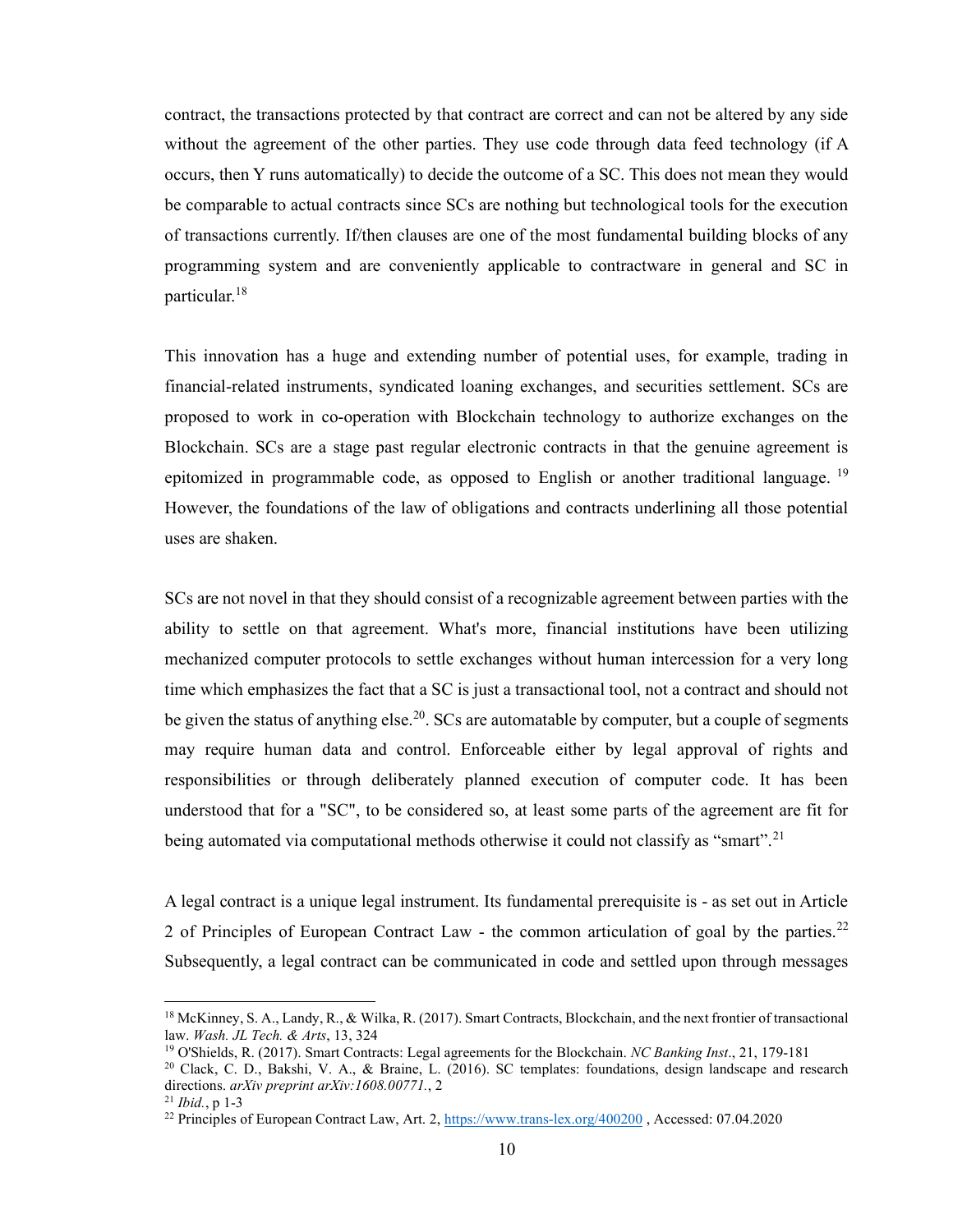contract, the transactions protected by that contract are correct and can not be altered by any side without the agreement of the other parties. They use code through data feed technology (if A occurs, then Y runs automatically) to decide the outcome of a SC. This does not mean they would be comparable to actual contracts since SCs are nothing but technological tools for the execution of transactions currently. If/then clauses are one of the most fundamental building blocks of any programming system and are conveniently applicable to contractware in general and SC in particular.<sup>18</sup>

This innovation has a huge and extending number of potential uses, for example, trading in financial-related instruments, syndicated loaning exchanges, and securities settlement. SCs are proposed to work in co-operation with Blockchain technology to authorize exchanges on the Blockchain. SCs are a stage past regular electronic contracts in that the genuine agreement is epitomized in programmable code, as opposed to English or another traditional language.<sup>19</sup> However, the foundations of the law of obligations and contracts underlining all those potential uses are shaken.

SCs are not novel in that they should consist of a recognizable agreement between parties with the ability to settle on that agreement. What's more, financial institutions have been utilizing mechanized computer protocols to settle exchanges without human intercession for a very long time which emphasizes the fact that a SC is just a transactional tool, not a contract and should not be given the status of anything else.<sup>20</sup>. SCs are automatable by computer, but a couple of segments may require human data and control. Enforceable either by legal approval of rights and responsibilities or through deliberately planned execution of computer code. It has been understood that for a "SC", to be considered so, at least some parts of the agreement are fit for being automated via computational methods otherwise it could not classify as "smart".<sup>21</sup>

A legal contract is a unique legal instrument. Its fundamental prerequisite is - as set out in Article 2 of Principles of European Contract Law - the common articulation of goal by the parties.<sup>22</sup> Subsequently, a legal contract can be communicated in code and settled upon through messages

<sup>&</sup>lt;sup>18</sup> McKinney, S. A., Landy, R., & Wilka, R. (2017). Smart Contracts, Blockchain, and the next frontier of transactional law. Wash. JL Tech. & Arts, 13, 324

<sup>&</sup>lt;sup>19</sup> O'Shields, R. (2017). Smart Contracts: Legal agreements for the Blockchain. NC Banking Inst., 21, 179-181

<sup>20</sup> Clack, C. D., Bakshi, V. A., & Braine, L. (2016). SC templates: foundations, design landscape and research directions. arXiv preprint arXiv:1608.00771., 2

 $21$  *Ibid.*, p 1-3

<sup>&</sup>lt;sup>22</sup> Principles of European Contract Law, Art. 2,  $\frac{https://www.trans-lex.org/400200}{https://www.trans-lex.org/400200}$ , Accessed: 07.04.2020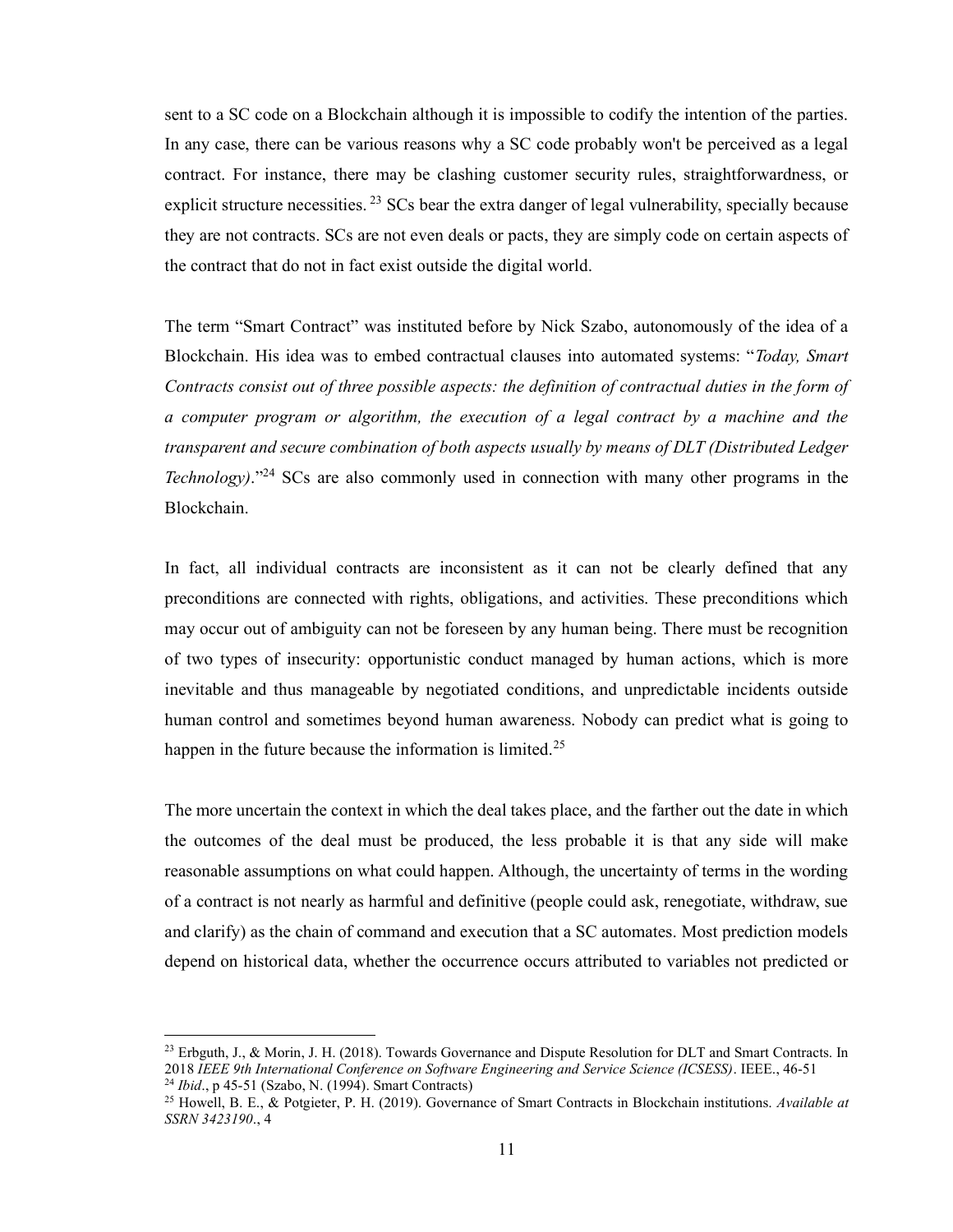sent to a SC code on a Blockchain although it is impossible to codify the intention of the parties. In any case, there can be various reasons why a SC code probably won't be perceived as a legal contract. For instance, there may be clashing customer security rules, straightforwardness, or explicit structure necessities.<sup>23</sup> SCs bear the extra danger of legal vulnerability, specially because they are not contracts. SCs are not even deals or pacts, they are simply code on certain aspects of the contract that do not in fact exist outside the digital world.

The term "Smart Contract" was instituted before by Nick Szabo, autonomously of the idea of a Blockchain. His idea was to embed contractual clauses into automated systems: "Today, Smart Contracts consist out of three possible aspects: the definition of contractual duties in the form of a computer program or algorithm, the execution of a legal contract by a machine and the transparent and secure combination of both aspects usually by means of DLT (Distributed Ledger *Technology*)."<sup>24</sup> SCs are also commonly used in connection with many other programs in the Blockchain.

In fact, all individual contracts are inconsistent as it can not be clearly defined that any preconditions are connected with rights, obligations, and activities. These preconditions which may occur out of ambiguity can not be foreseen by any human being. There must be recognition of two types of insecurity: opportunistic conduct managed by human actions, which is more inevitable and thus manageable by negotiated conditions, and unpredictable incidents outside human control and sometimes beyond human awareness. Nobody can predict what is going to happen in the future because the information is limited.<sup>25</sup>

The more uncertain the context in which the deal takes place, and the farther out the date in which the outcomes of the deal must be produced, the less probable it is that any side will make reasonable assumptions on what could happen. Although, the uncertainty of terms in the wording of a contract is not nearly as harmful and definitive (people could ask, renegotiate, withdraw, sue and clarify) as the chain of command and execution that a SC automates. Most prediction models depend on historical data, whether the occurrence occurs attributed to variables not predicted or

<sup>&</sup>lt;sup>23</sup> Erbguth, J., & Morin, J. H. (2018). Towards Governance and Dispute Resolution for DLT and Smart Contracts. In 2018 IEEE 9th International Conference on Software Engineering and Service Science (ICSESS). IEEE., 46-51

<sup>24</sup> Ibid., p 45-51 (Szabo, N. (1994). Smart Contracts)

<sup>&</sup>lt;sup>25</sup> Howell, B. E., & Potgieter, P. H. (2019). Governance of Smart Contracts in Blockchain institutions. Available at SSRN 3423190., 4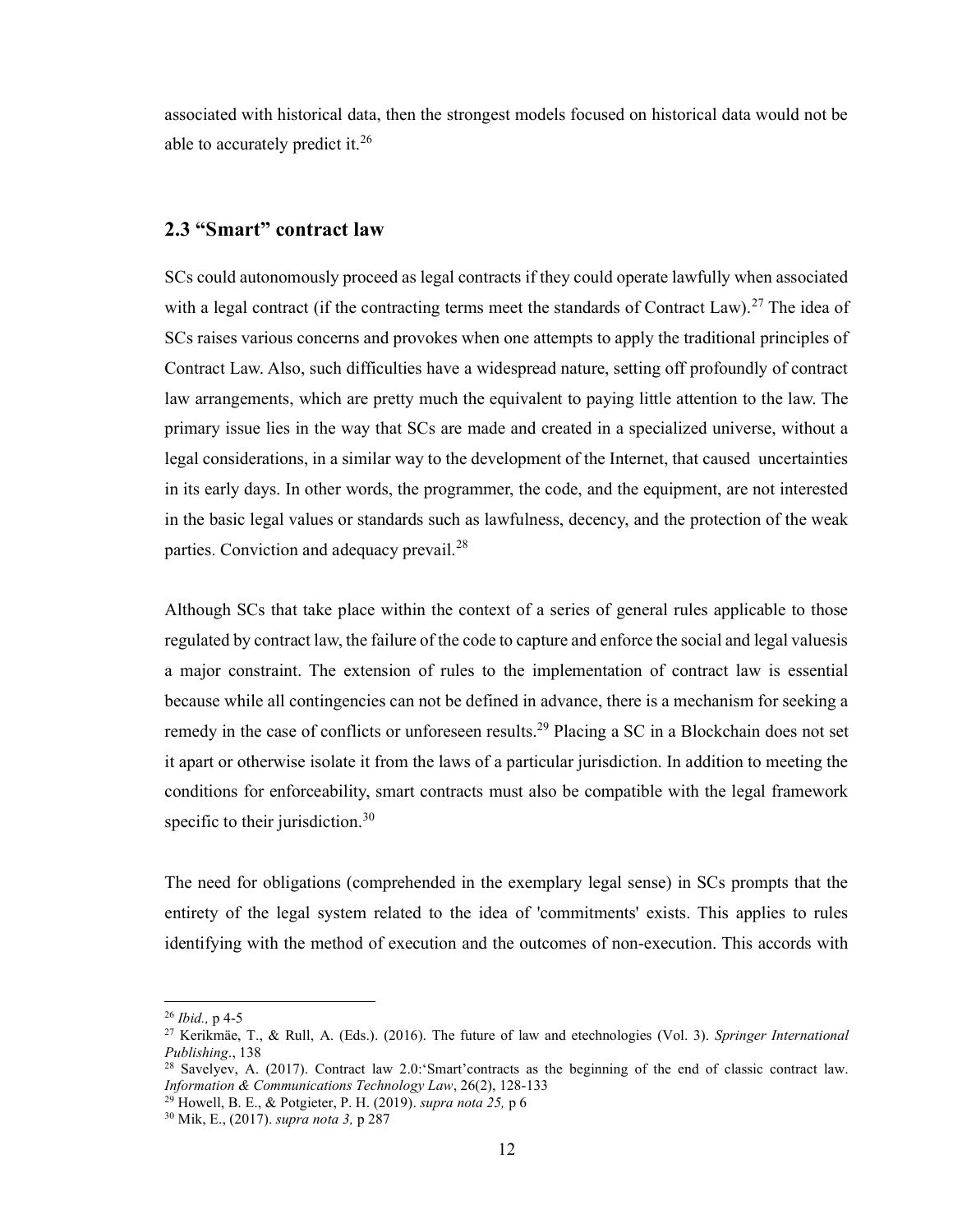associated with historical data, then the strongest models focused on historical data would not be able to accurately predict it.<sup>26</sup>

#### 2.3 "Smart" contract law

SCs could autonomously proceed as legal contracts if they could operate lawfully when associated with a legal contract (if the contracting terms meet the standards of Contract Law).<sup>27</sup> The idea of SCs raises various concerns and provokes when one attempts to apply the traditional principles of Contract Law. Also, such difficulties have a widespread nature, setting off profoundly of contract law arrangements, which are pretty much the equivalent to paying little attention to the law. The primary issue lies in the way that SCs are made and created in a specialized universe, without a legal considerations, in a similar way to the development of the Internet, that caused uncertainties in its early days. In other words, the programmer, the code, and the equipment, are not interested in the basic legal values or standards such as lawfulness, decency, and the protection of the weak parties. Conviction and adequacy prevail. $^{28}$ 

Although SCs that take place within the context of a series of general rules applicable to those regulated by contract law, the failure of the code to capture and enforce the social and legal valuesis a major constraint. The extension of rules to the implementation of contract law is essential because while all contingencies can not be defined in advance, there is a mechanism for seeking a remedy in the case of conflicts or unforeseen results.<sup>29</sup> Placing a SC in a Blockchain does not set it apart or otherwise isolate it from the laws of a particular jurisdiction. In addition to meeting the conditions for enforceability, smart contracts must also be compatible with the legal framework specific to their jurisdiction. $30$ 

The need for obligations (comprehended in the exemplary legal sense) in SCs prompts that the entirety of the legal system related to the idea of 'commitments' exists. This applies to rules identifying with the method of execution and the outcomes of non-execution. This accords with

 $26$  *Ibid.*, p 4-5

<sup>&</sup>lt;sup>27</sup> Kerikmäe, T., & Rull, A. (Eds.). (2016). The future of law and etechnologies (Vol. 3). Springer International Publishing., 138

<sup>&</sup>lt;sup>28</sup> Savelyev, A. (2017). Contract law 2.0: Smart' contracts as the beginning of the end of classic contract law. Information & Communications Technology Law, 26(2), 128-133

 $29$  Howell, B. E., & Potgieter, P. H. (2019). supra nota 25, p 6

<sup>30</sup> Mik, E., (2017). supra nota 3, p 287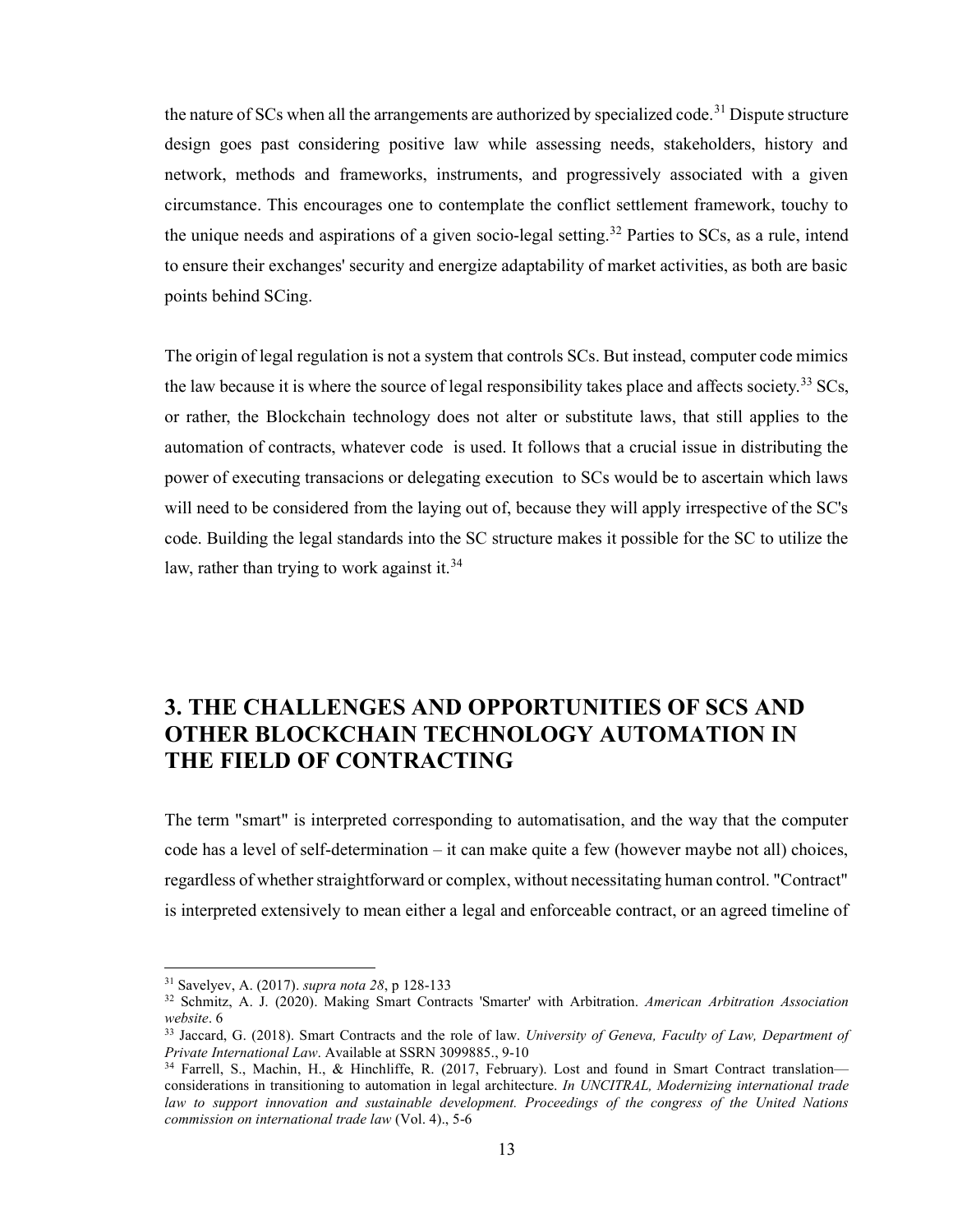the nature of SCs when all the arrangements are authorized by specialized code.<sup>31</sup> Dispute structure design goes past considering positive law while assessing needs, stakeholders, history and network, methods and frameworks, instruments, and progressively associated with a given circumstance. This encourages one to contemplate the conflict settlement framework, touchy to the unique needs and aspirations of a given socio-legal setting.<sup>32</sup> Parties to SCs, as a rule, intend to ensure their exchanges' security and energize adaptability of market activities, as both are basic points behind SCing.

The origin of legal regulation is not a system that controls SCs. But instead, computer code mimics the law because it is where the source of legal responsibility takes place and affects society.<sup>33</sup> SCs, or rather, the Blockchain technology does not alter or substitute laws, that still applies to the automation of contracts, whatever code is used. It follows that a crucial issue in distributing the power of executing transacions or delegating execution to SCs would be to ascertain which laws will need to be considered from the laying out of, because they will apply irrespective of the SC's code. Building the legal standards into the SC structure makes it possible for the SC to utilize the law, rather than trying to work against it.<sup>34</sup>

## 3. THE CHALLENGES AND OPPORTUNITIES OF SCS AND OTHER BLOCKCHAIN TECHNOLOGY AUTOMATION IN THE FIELD OF CONTRACTING

The term "smart" is interpreted corresponding to automatisation, and the way that the computer code has a level of self-determination – it can make quite a few (however maybe not all) choices, regardless of whether straightforward or complex, without necessitating human control. "Contract" is interpreted extensively to mean either a legal and enforceable contract, or an agreed timeline of

 $31$  Savelyev, A. (2017). *supra nota* 28, p 128-133

<sup>&</sup>lt;sup>32</sup> Schmitz, A. J. (2020). Making Smart Contracts 'Smarter' with Arbitration. American Arbitration Association website. 6

<sup>&</sup>lt;sup>33</sup> Jaccard, G. (2018). Smart Contracts and the role of law. University of Geneva, Faculty of Law, Department of Private International Law. Available at SSRN 3099885., 9-10

<sup>&</sup>lt;sup>34</sup> Farrell, S., Machin, H., & Hinchliffe, R. (2017, February). Lost and found in Smart Contract translation considerations in transitioning to automation in legal architecture. In UNCITRAL, Modernizing international trade law to support innovation and sustainable development. Proceedings of the congress of the United Nations commission on international trade law (Vol. 4)., 5-6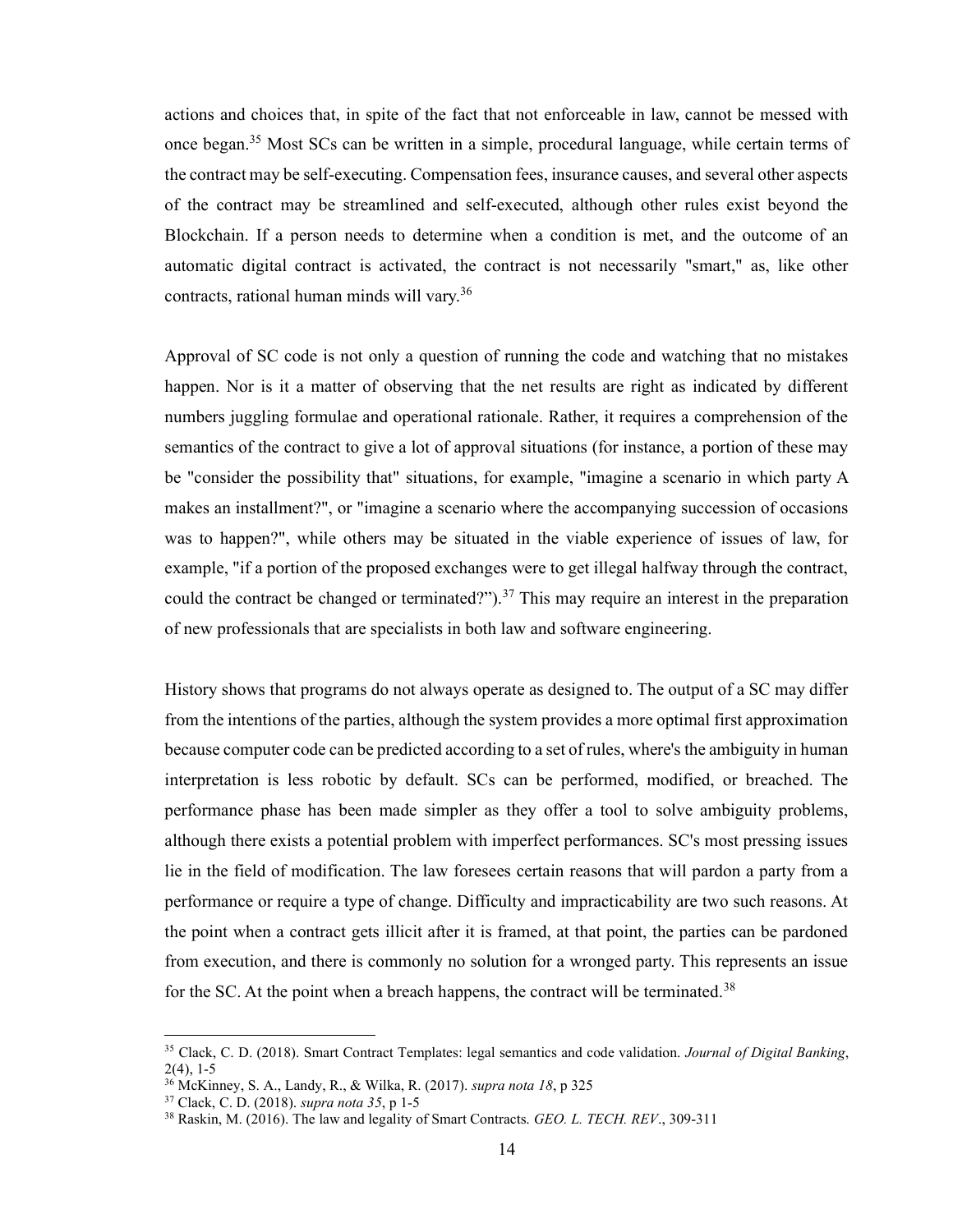actions and choices that, in spite of the fact that not enforceable in law, cannot be messed with once began.<sup>35</sup> Most SCs can be written in a simple, procedural language, while certain terms of the contract may be self-executing. Compensation fees, insurance causes, and several other aspects of the contract may be streamlined and self-executed, although other rules exist beyond the Blockchain. If a person needs to determine when a condition is met, and the outcome of an automatic digital contract is activated, the contract is not necessarily "smart," as, like other contracts, rational human minds will vary.<sup>36</sup>

Approval of SC code is not only a question of running the code and watching that no mistakes happen. Nor is it a matter of observing that the net results are right as indicated by different numbers juggling formulae and operational rationale. Rather, it requires a comprehension of the semantics of the contract to give a lot of approval situations (for instance, a portion of these may be "consider the possibility that" situations, for example, "imagine a scenario in which party A makes an installment?", or "imagine a scenario where the accompanying succession of occasions was to happen?", while others may be situated in the viable experience of issues of law, for example, "if a portion of the proposed exchanges were to get illegal halfway through the contract, could the contract be changed or terminated?").<sup>37</sup> This may require an interest in the preparation of new professionals that are specialists in both law and software engineering.

History shows that programs do not always operate as designed to. The output of a SC may differ from the intentions of the parties, although the system provides a more optimal first approximation because computer code can be predicted according to a set of rules, where's the ambiguity in human interpretation is less robotic by default. SCs can be performed, modified, or breached. The performance phase has been made simpler as they offer a tool to solve ambiguity problems, although there exists a potential problem with imperfect performances. SC's most pressing issues lie in the field of modification. The law foresees certain reasons that will pardon a party from a performance or require a type of change. Difficulty and impracticability are two such reasons. At the point when a contract gets illicit after it is framed, at that point, the parties can be pardoned from execution, and there is commonly no solution for a wronged party. This represents an issue for the SC. At the point when a breach happens, the contract will be terminated.<sup>38</sup>

<sup>&</sup>lt;sup>35</sup> Clack, C. D. (2018). Smart Contract Templates: legal semantics and code validation. *Journal of Digital Banking*, 2(4), 1-5

<sup>36</sup> McKinney, S. A., Landy, R., & Wilka, R. (2017). supra nota 18, p 325

<sup>37</sup> Clack, C. D. (2018). supra nota 35, p 1-5

<sup>&</sup>lt;sup>38</sup> Raskin, M. (2016). The law and legality of Smart Contracts. GEO. L. TECH. REV., 309-311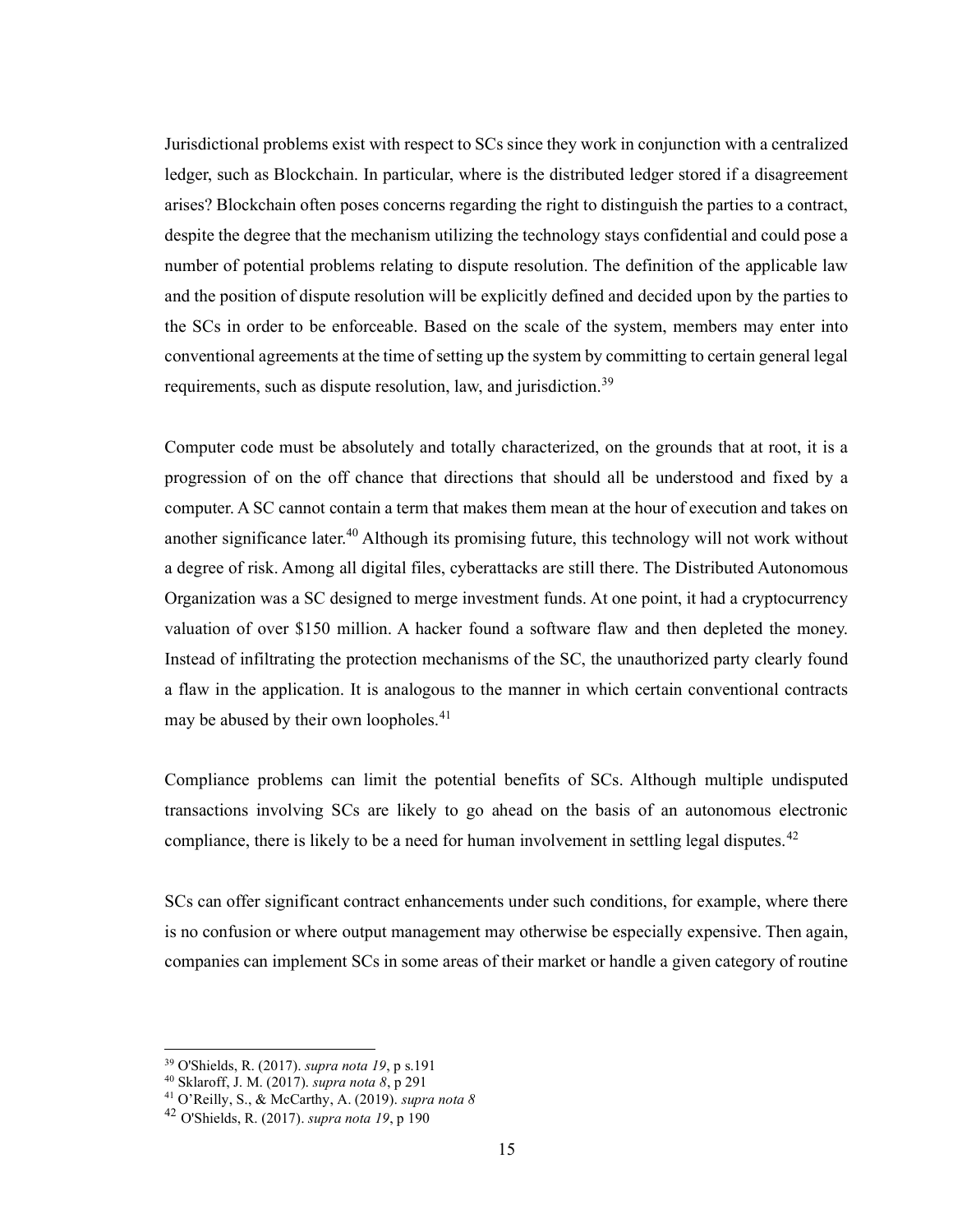Jurisdictional problems exist with respect to SCs since they work in conjunction with a centralized ledger, such as Blockchain. In particular, where is the distributed ledger stored if a disagreement arises? Blockchain often poses concerns regarding the right to distinguish the parties to a contract, despite the degree that the mechanism utilizing the technology stays confidential and could pose a number of potential problems relating to dispute resolution. The definition of the applicable law and the position of dispute resolution will be explicitly defined and decided upon by the parties to the SCs in order to be enforceable. Based on the scale of the system, members may enter into conventional agreements at the time of setting up the system by committing to certain general legal requirements, such as dispute resolution, law, and jurisdiction.<sup>39</sup>

Computer code must be absolutely and totally characterized, on the grounds that at root, it is a progression of on the off chance that directions that should all be understood and fixed by a computer. A SC cannot contain a term that makes them mean at the hour of execution and takes on another significance later.<sup>40</sup> Although its promising future, this technology will not work without a degree of risk. Among all digital files, cyberattacks are still there. The Distributed Autonomous Organization was a SC designed to merge investment funds. At one point, it had a cryptocurrency valuation of over \$150 million. A hacker found a software flaw and then depleted the money. Instead of infiltrating the protection mechanisms of the SC, the unauthorized party clearly found a flaw in the application. It is analogous to the manner in which certain conventional contracts may be abused by their own loopholes.<sup>41</sup>

Compliance problems can limit the potential benefits of SCs. Although multiple undisputed transactions involving SCs are likely to go ahead on the basis of an autonomous electronic compliance, there is likely to be a need for human involvement in settling legal disputes.<sup>42</sup>

SCs can offer significant contract enhancements under such conditions, for example, where there is no confusion or where output management may otherwise be especially expensive. Then again, companies can implement SCs in some areas of their market or handle a given category of routine

<sup>39</sup> O'Shields, R. (2017). supra nota 19, p s.191

<sup>40</sup> Sklaroff, J. M. (2017). supra nota 8, p 291

<sup>&</sup>lt;sup>41</sup> O'Reilly, S., & McCarthy, A. (2019). *supra nota 8* 

 $42$  O'Shields, R. (2017). *supra nota 19*, p 190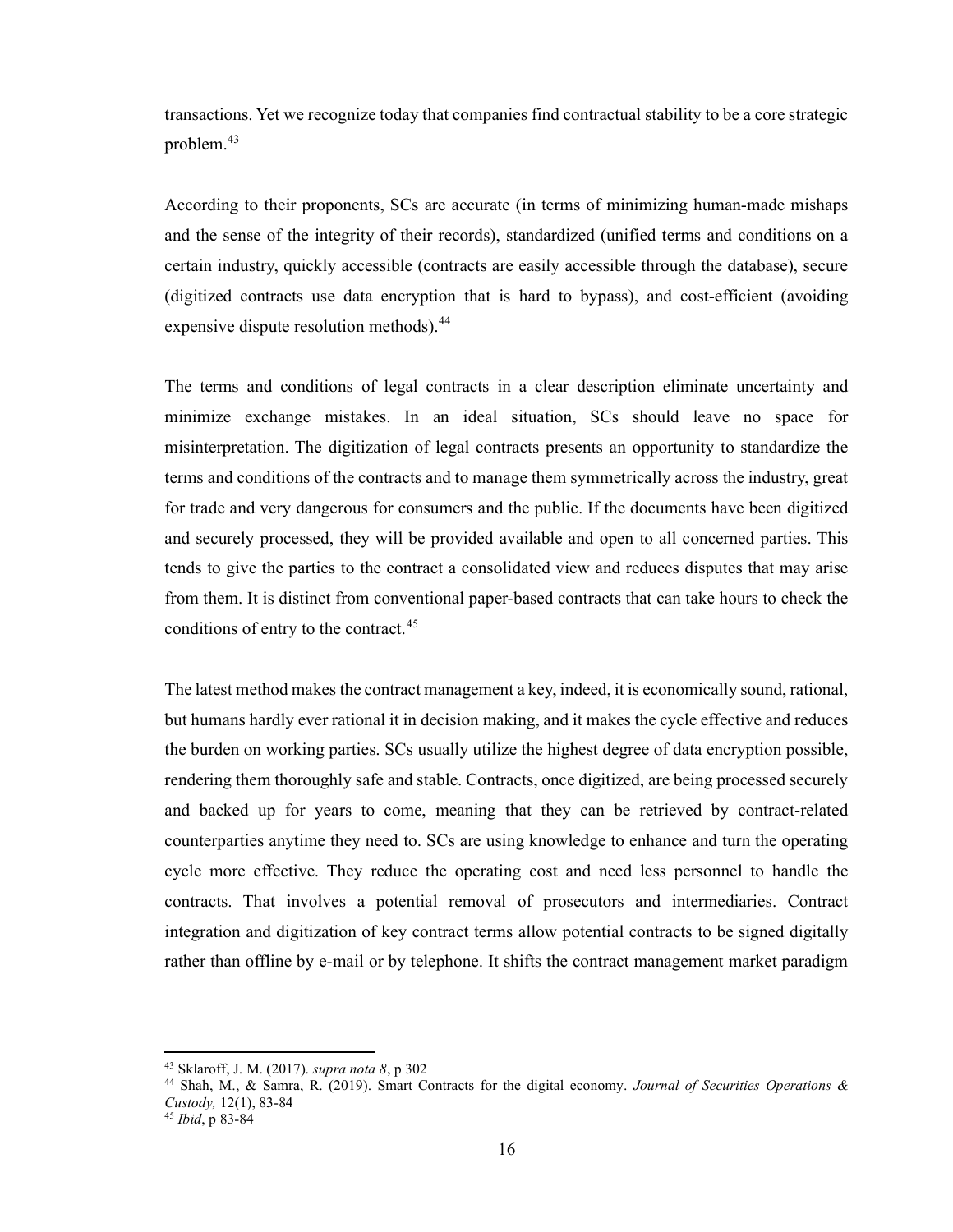transactions. Yet we recognize today that companies find contractual stability to be a core strategic problem. $43$ 

According to their proponents, SCs are accurate (in terms of minimizing human-made mishaps and the sense of the integrity of their records), standardized (unified terms and conditions on a certain industry, quickly accessible (contracts are easily accessible through the database), secure (digitized contracts use data encryption that is hard to bypass), and cost-efficient (avoiding expensive dispute resolution methods).<sup>44</sup>

The terms and conditions of legal contracts in a clear description eliminate uncertainty and minimize exchange mistakes. In an ideal situation, SCs should leave no space for misinterpretation. The digitization of legal contracts presents an opportunity to standardize the terms and conditions of the contracts and to manage them symmetrically across the industry, great for trade and very dangerous for consumers and the public. If the documents have been digitized and securely processed, they will be provided available and open to all concerned parties. This tends to give the parties to the contract a consolidated view and reduces disputes that may arise from them. It is distinct from conventional paper-based contracts that can take hours to check the conditions of entry to the contract.<sup>45</sup>

The latest method makes the contract management a key, indeed, it is economically sound, rational, but humans hardly ever rational it in decision making, and it makes the cycle effective and reduces the burden on working parties. SCs usually utilize the highest degree of data encryption possible, rendering them thoroughly safe and stable. Contracts, once digitized, are being processed securely and backed up for years to come, meaning that they can be retrieved by contract-related counterparties anytime they need to. SCs are using knowledge to enhance and turn the operating cycle more effective. They reduce the operating cost and need less personnel to handle the contracts. That involves a potential removal of prosecutors and intermediaries. Contract integration and digitization of key contract terms allow potential contracts to be signed digitally rather than offline by e-mail or by telephone. It shifts the contract management market paradigm

<sup>43</sup> Sklaroff, J. M. (2017). supra nota 8, p 302

<sup>44</sup> Shah, M., & Samra, R. (2019). Smart Contracts for the digital economy. Journal of Securities Operations & Custody, 12(1), 83-84

<sup>45</sup> Ibid, p 83-84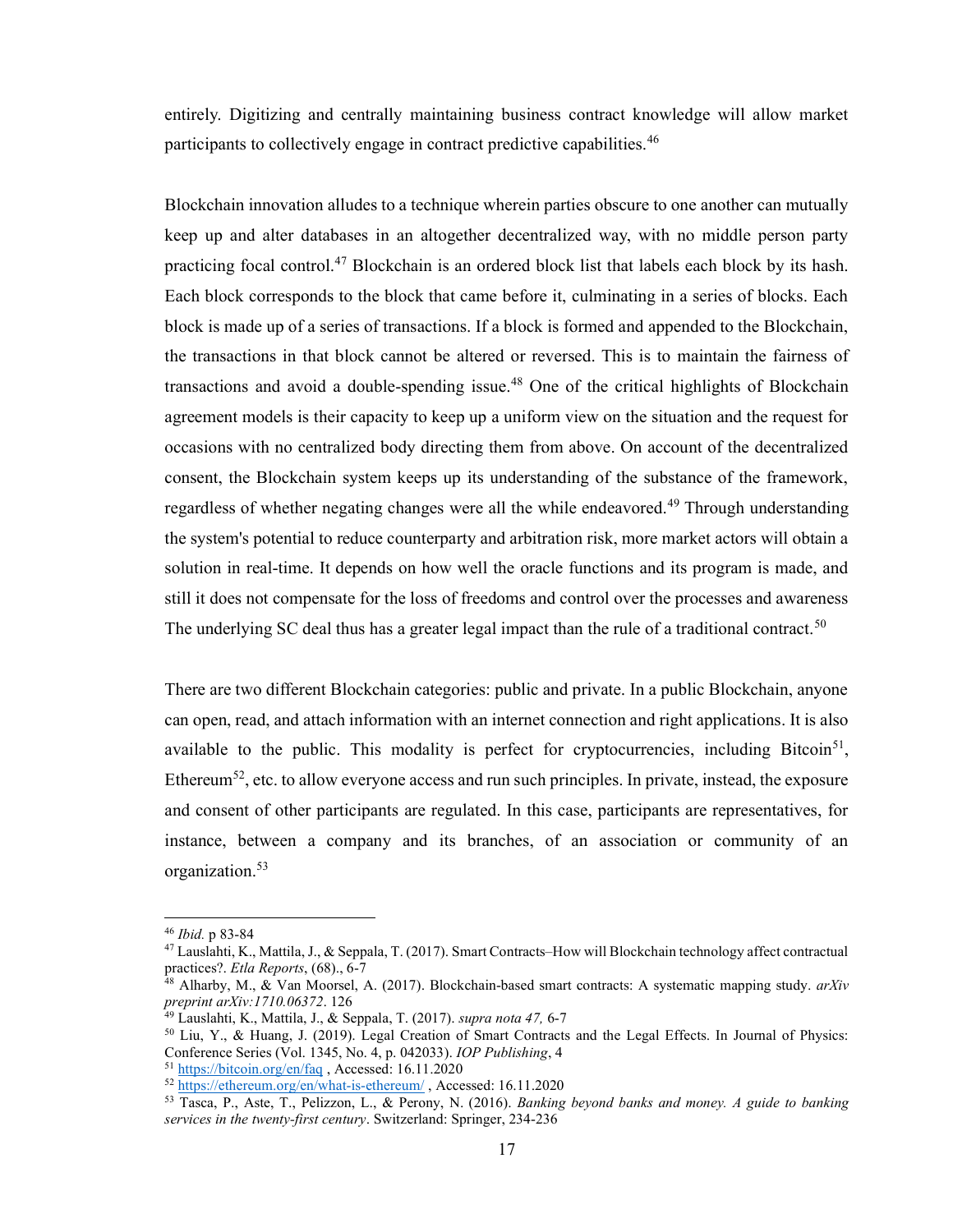entirely. Digitizing and centrally maintaining business contract knowledge will allow market participants to collectively engage in contract predictive capabilities.<sup>46</sup>

Blockchain innovation alludes to a technique wherein parties obscure to one another can mutually keep up and alter databases in an altogether decentralized way, with no middle person party practicing focal control.<sup>47</sup> Blockchain is an ordered block list that labels each block by its hash. Each block corresponds to the block that came before it, culminating in a series of blocks. Each block is made up of a series of transactions. If a block is formed and appended to the Blockchain, the transactions in that block cannot be altered or reversed. This is to maintain the fairness of transactions and avoid a double-spending issue.<sup>48</sup> One of the critical highlights of Blockchain agreement models is their capacity to keep up a uniform view on the situation and the request for occasions with no centralized body directing them from above. On account of the decentralized consent, the Blockchain system keeps up its understanding of the substance of the framework, regardless of whether negating changes were all the while endeavored.<sup>49</sup> Through understanding the system's potential to reduce counterparty and arbitration risk, more market actors will obtain a solution in real-time. It depends on how well the oracle functions and its program is made, and still it does not compensate for the loss of freedoms and control over the processes and awareness The underlying SC deal thus has a greater legal impact than the rule of a traditional contract.<sup>50</sup>

There are two different Blockchain categories: public and private. In a public Blockchain, anyone can open, read, and attach information with an internet connection and right applications. It is also available to the public. This modality is perfect for cryptocurrencies, including Bitcoin<sup>51</sup>, Ethereum<sup>52</sup>, etc. to allow everyone access and run such principles. In private, instead, the exposure and consent of other participants are regulated. In this case, participants are representatives, for instance, between a company and its branches, of an association or community of an organization.<sup>53</sup>

<sup>46</sup> Ibid. p 83-84

<sup>&</sup>lt;sup>47</sup> Lauslahti, K., Mattila, J., & Seppala, T. (2017). Smart Contracts–How will Blockchain technology affect contractual practices?. Etla Reports, (68)., 6-7

 $48$  Alharby, M.,  $\&$  Van Moorsel, A. (2017). Blockchain-based smart contracts: A systematic mapping study. arXiv preprint arXiv:1710.06372. 126

 $49$  Lauslahti, K., Mattila, J., & Seppala, T. (2017). *supra nota 47*, 6-7

<sup>50</sup> Liu, Y., & Huang, J. (2019). Legal Creation of Smart Contracts and the Legal Effects. In Journal of Physics: Conference Series (Vol. 1345, No. 4, p. 042033). IOP Publishing, 4

<sup>51</sup> https://bitcoin.org/en/faq , Accessed: 16.11.2020

<sup>52</sup> https://ethereum.org/en/what-is-ethereum/ , Accessed: 16.11.2020

<sup>53</sup> Tasca, P., Aste, T., Pelizzon, L., & Perony, N. (2016). Banking beyond banks and money. A guide to banking services in the twenty-first century. Switzerland: Springer, 234-236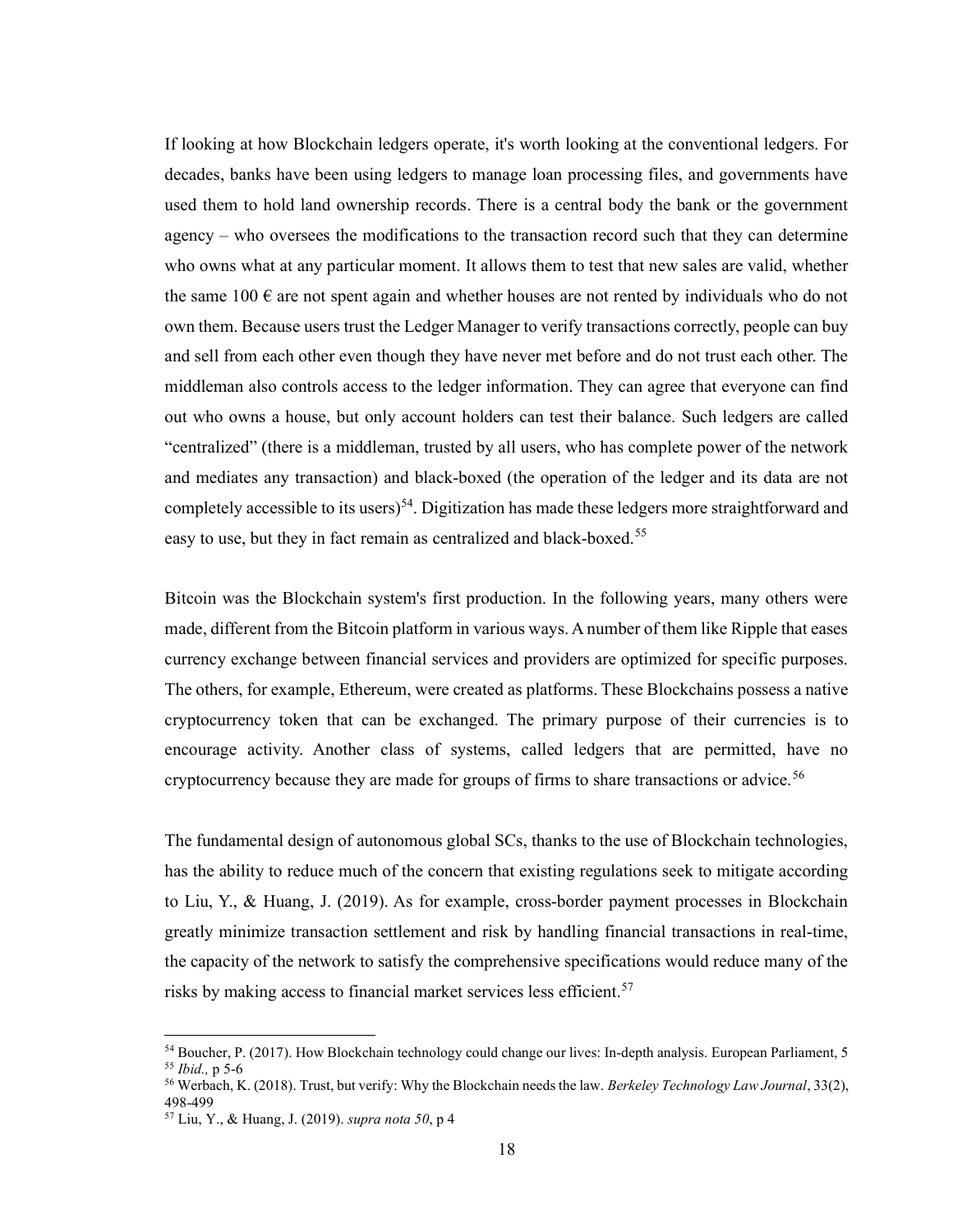If looking at how Blockchain ledgers operate, it's worth looking at the conventional ledgers. For decades, banks have been using ledgers to manage loan processing files, and governments have used them to hold land ownership records. There is a central body the bank or the government agency – who oversees the modifications to the transaction record such that they can determine who owns what at any particular moment. It allows them to test that new sales are valid, whether the same  $100 \text{ }\epsilon$  are not spent again and whether houses are not rented by individuals who do not own them. Because users trust the Ledger Manager to verify transactions correctly, people can buy and sell from each other even though they have never met before and do not trust each other. The middleman also controls access to the ledger information. They can agree that everyone can find out who owns a house, but only account holders can test their balance. Such ledgers are called "centralized" (there is a middleman, trusted by all users, who has complete power of the network and mediates any transaction) and black-boxed (the operation of the ledger and its data are not completely accessible to its users)<sup>54</sup>. Digitization has made these ledgers more straightforward and easy to use, but they in fact remain as centralized and black-boxed.<sup>55</sup>

Bitcoin was the Blockchain system's first production. In the following years, many others were made, different from the Bitcoin platform in various ways. A number of them like Ripple that eases currency exchange between financial services and providers are optimized for specific purposes. The others, for example, Ethereum, were created as platforms. These Blockchains possess a native cryptocurrency token that can be exchanged. The primary purpose of their currencies is to encourage activity. Another class of systems, called ledgers that are permitted, have no cryptocurrency because they are made for groups of firms to share transactions or advice.<sup>56</sup>

The fundamental design of autonomous global SCs, thanks to the use of Blockchain technologies, has the ability to reduce much of the concern that existing regulations seek to mitigate according to Liu, Y., & Huang, J. (2019). As for example, cross-border payment processes in Blockchain greatly minimize transaction settlement and risk by handling financial transactions in real-time, the capacity of the network to satisfy the comprehensive specifications would reduce many of the risks by making access to financial market services less efficient.<sup>57</sup>

<sup>&</sup>lt;sup>54</sup> Boucher, P. (2017). How Blockchain technology could change our lives: In-depth analysis. European Parliament, 5 <sup>55</sup> Ibid., p 5-6

<sup>&</sup>lt;sup>56</sup> Werbach, K. (2018). Trust, but verify: Why the Blockchain needs the law. Berkeley Technology Law Journal, 33(2), 498-499

<sup>57</sup> Liu, Y., & Huang, J. (2019). supra nota 50, p 4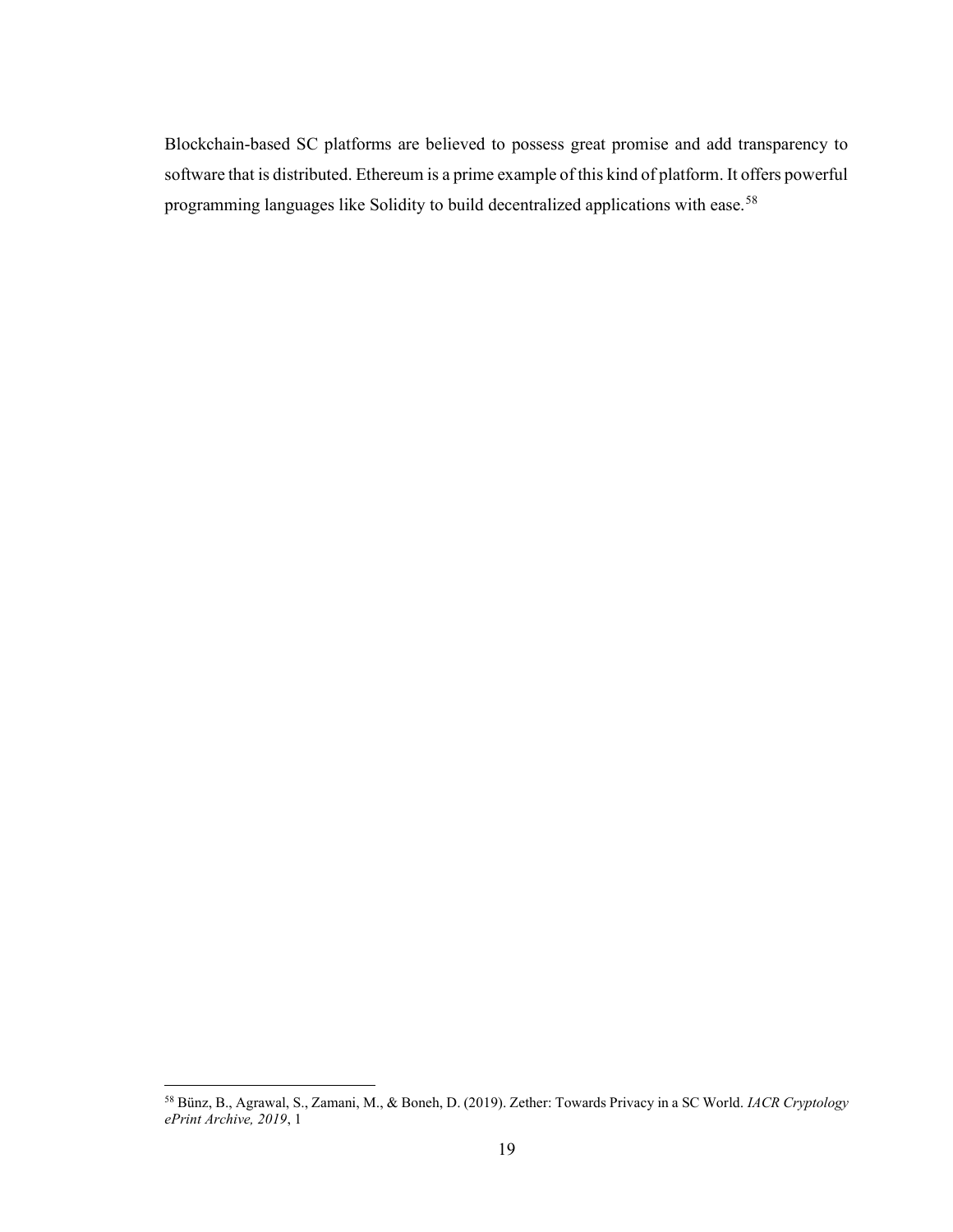Blockchain-based SC platforms are believed to possess great promise and add transparency to software that is distributed. Ethereum is a prime example of this kind of platform. It offers powerful programming languages like Solidity to build decentralized applications with ease.<sup>58</sup>

<sup>58</sup> Bünz, B., Agrawal, S., Zamani, M., & Boneh, D. (2019). Zether: Towards Privacy in a SC World. IACR Cryptology ePrint Archive, 2019, 1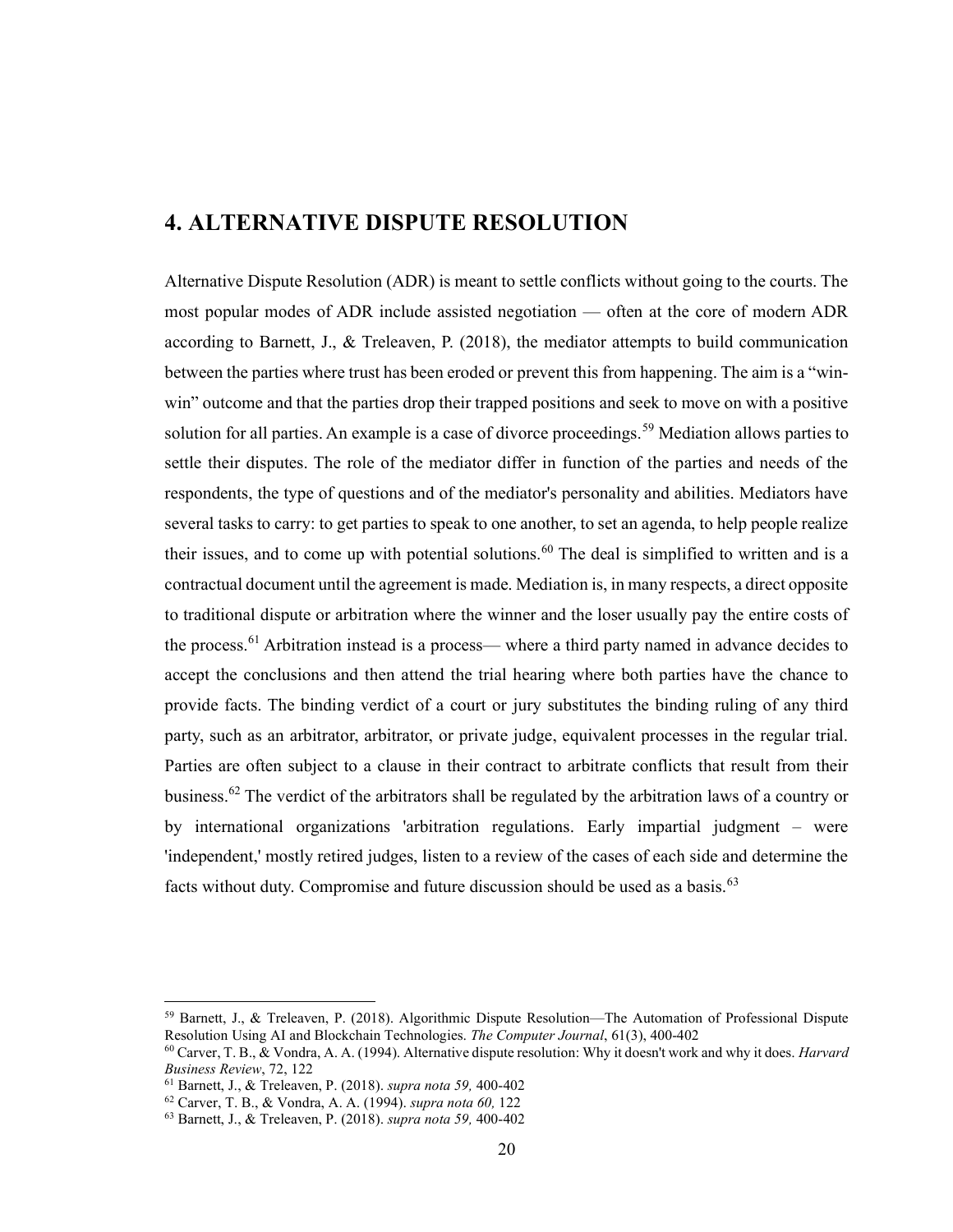## 4. ALTERNATIVE DISPUTE RESOLUTION

Alternative Dispute Resolution (ADR) is meant to settle conflicts without going to the courts. The most popular modes of ADR include assisted negotiation — often at the core of modern ADR according to Barnett, J., & Treleaven, P. (2018), the mediator attempts to build communication between the parties where trust has been eroded or prevent this from happening. The aim is a "winwin" outcome and that the parties drop their trapped positions and seek to move on with a positive solution for all parties. An example is a case of divorce proceedings.<sup>59</sup> Mediation allows parties to settle their disputes. The role of the mediator differ in function of the parties and needs of the respondents, the type of questions and of the mediator's personality and abilities. Mediators have several tasks to carry: to get parties to speak to one another, to set an agenda, to help people realize their issues, and to come up with potential solutions.<sup>60</sup> The deal is simplified to written and is a contractual document until the agreement is made. Mediation is, in many respects, a direct opposite to traditional dispute or arbitration where the winner and the loser usually pay the entire costs of the process.<sup>61</sup> Arbitration instead is a process— where a third party named in advance decides to accept the conclusions and then attend the trial hearing where both parties have the chance to provide facts. The binding verdict of a court or jury substitutes the binding ruling of any third party, such as an arbitrator, arbitrator, or private judge, equivalent processes in the regular trial. Parties are often subject to a clause in their contract to arbitrate conflicts that result from their business.<sup>62</sup> The verdict of the arbitrators shall be regulated by the arbitration laws of a country or by international organizations 'arbitration regulations. Early impartial judgment – were 'independent,' mostly retired judges, listen to a review of the cases of each side and determine the facts without duty. Compromise and future discussion should be used as a basis. $63$ 

<sup>59</sup> Barnett, J., & Treleaven, P. (2018). Algorithmic Dispute Resolution—The Automation of Professional Dispute Resolution Using AI and Blockchain Technologies. The Computer Journal, 61(3), 400-402

 $60$  Carver, T. B., & Vondra, A. A. (1994). Alternative dispute resolution: Why it doesn't work and why it does. Harvard Business Review, 72, 122

<sup>61</sup> Barnett, J., & Treleaven, P. (2018). supra nota 59, 400-402

<sup>62</sup> Carver, T. B., & Vondra, A. A. (1994). supra nota 60, 122

<sup>63</sup> Barnett, J., & Treleaven, P. (2018). supra nota 59, 400-402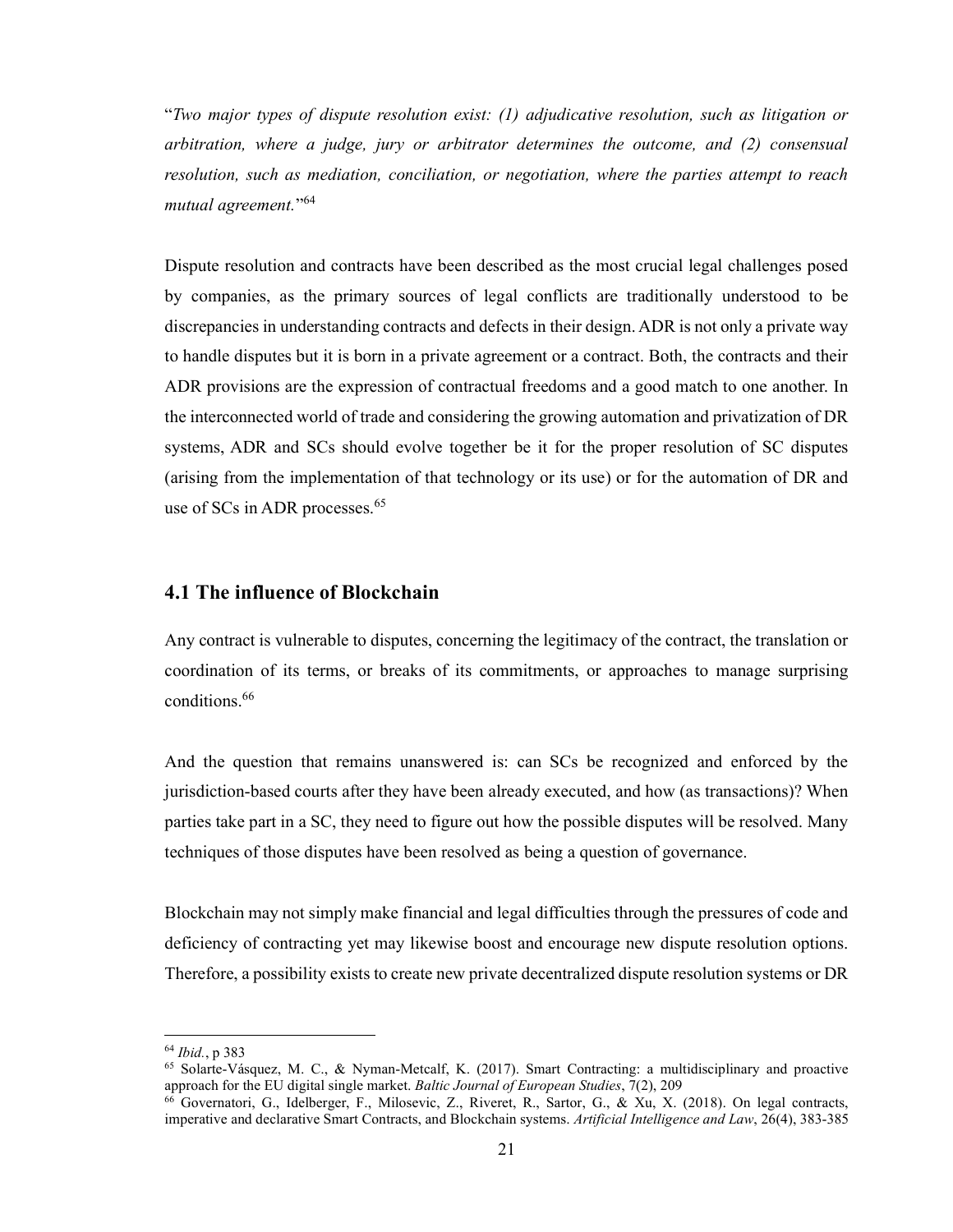"Two major types of dispute resolution exist: (1) adjudicative resolution, such as litigation or arbitration, where a judge, jury or arbitrator determines the outcome, and (2) consensual resolution, such as mediation, conciliation, or negotiation, where the parties attempt to reach mutual agreement." 64

Dispute resolution and contracts have been described as the most crucial legal challenges posed by companies, as the primary sources of legal conflicts are traditionally understood to be discrepancies in understanding contracts and defects in their design. ADR is not only a private way to handle disputes but it is born in a private agreement or a contract. Both, the contracts and their ADR provisions are the expression of contractual freedoms and a good match to one another. In the interconnected world of trade and considering the growing automation and privatization of DR systems, ADR and SCs should evolve together be it for the proper resolution of SC disputes (arising from the implementation of that technology or its use) or for the automation of DR and use of SCs in ADR processes.<sup>65</sup>

#### 4.1 The influence of Blockchain

Any contract is vulnerable to disputes, concerning the legitimacy of the contract, the translation or coordination of its terms, or breaks of its commitments, or approaches to manage surprising conditions.<sup>66</sup>

And the question that remains unanswered is: can SCs be recognized and enforced by the jurisdiction-based courts after they have been already executed, and how (as transactions)? When parties take part in a SC, they need to figure out how the possible disputes will be resolved. Many techniques of those disputes have been resolved as being a question of governance.

Blockchain may not simply make financial and legal difficulties through the pressures of code and deficiency of contracting yet may likewise boost and encourage new dispute resolution options. Therefore, a possibility exists to create new private decentralized dispute resolution systems or DR

<sup>64</sup> Ibid., p 383

<sup>65</sup> Solarte-Vásquez, M. C., & Nyman-Metcalf, K. (2017). Smart Contracting: a multidisciplinary and proactive approach for the EU digital single market. Baltic Journal of European Studies, 7(2), 209

<sup>66</sup> Governatori, G., Idelberger, F., Milosevic, Z., Riveret, R., Sartor, G., & Xu, X. (2018). On legal contracts, imperative and declarative Smart Contracts, and Blockchain systems. Artificial Intelligence and Law, 26(4), 383-385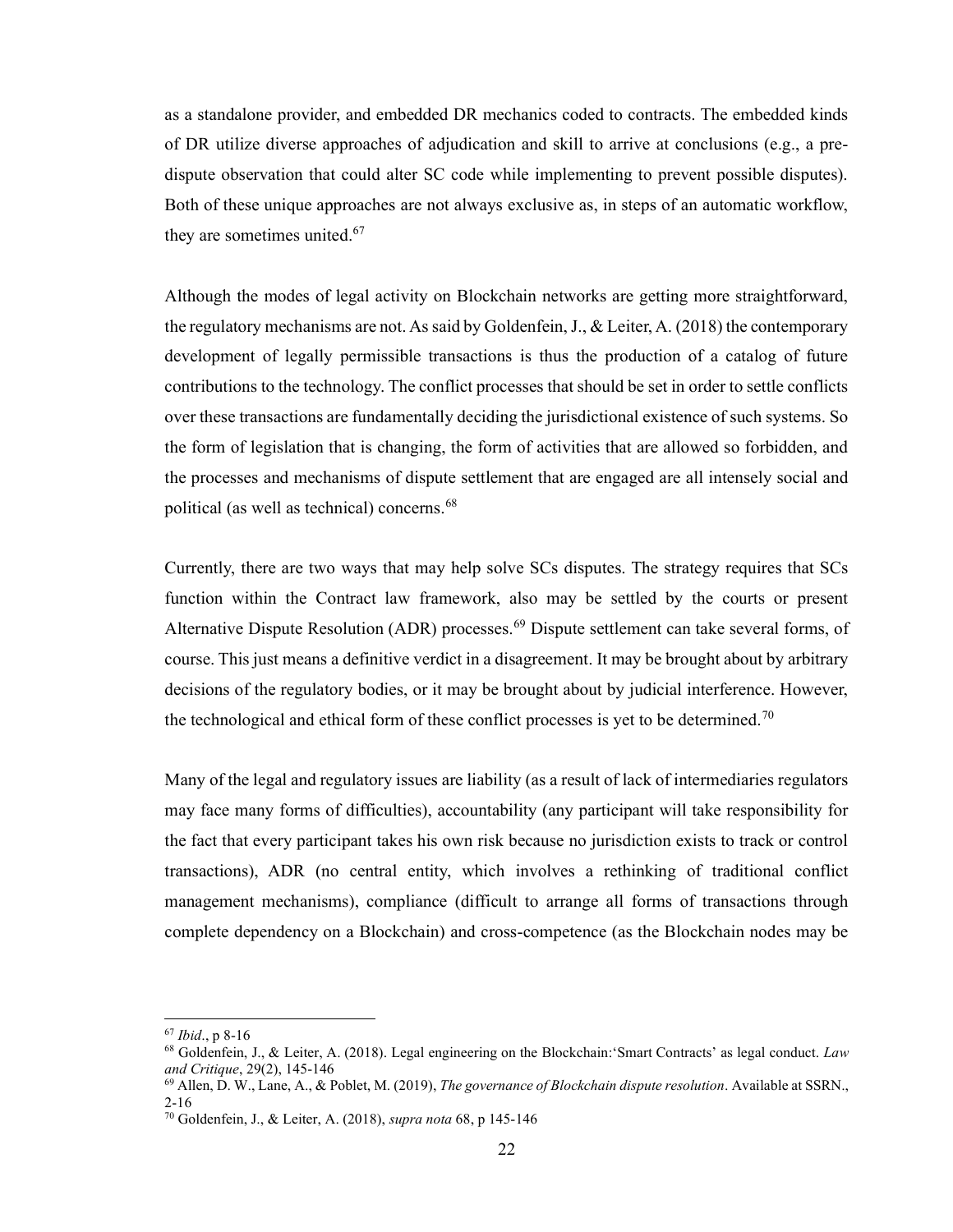as a standalone provider, and embedded DR mechanics coded to contracts. The embedded kinds of DR utilize diverse approaches of adjudication and skill to arrive at conclusions (e.g., a predispute observation that could alter SC code while implementing to prevent possible disputes). Both of these unique approaches are not always exclusive as, in steps of an automatic workflow, they are sometimes united.<sup>67</sup>

Although the modes of legal activity on Blockchain networks are getting more straightforward, the regulatory mechanisms are not. As said by Goldenfein, J., & Leiter, A. (2018) the contemporary development of legally permissible transactions is thus the production of a catalog of future contributions to the technology. The conflict processes that should be set in order to settle conflicts over these transactions are fundamentally deciding the jurisdictional existence of such systems. So the form of legislation that is changing, the form of activities that are allowed so forbidden, and the processes and mechanisms of dispute settlement that are engaged are all intensely social and political (as well as technical) concerns.<sup>68</sup>

Currently, there are two ways that may help solve SCs disputes. The strategy requires that SCs function within the Contract law framework, also may be settled by the courts or present Alternative Dispute Resolution (ADR) processes.<sup>69</sup> Dispute settlement can take several forms, of course. This just means a definitive verdict in a disagreement. It may be brought about by arbitrary decisions of the regulatory bodies, or it may be brought about by judicial interference. However, the technological and ethical form of these conflict processes is yet to be determined.<sup>70</sup>

Many of the legal and regulatory issues are liability (as a result of lack of intermediaries regulators may face many forms of difficulties), accountability (any participant will take responsibility for the fact that every participant takes his own risk because no jurisdiction exists to track or control transactions), ADR (no central entity, which involves a rethinking of traditional conflict management mechanisms), compliance (difficult to arrange all forms of transactions through complete dependency on a Blockchain) and cross-competence (as the Blockchain nodes may be

<sup>67</sup> Ibid., p 8-16

 $68$  Goldenfein, J., & Leiter, A. (2018). Legal engineering on the Blockchain: 'Smart Contracts' as legal conduct. Law and Critique, 29(2), 145-146

 $^{69}$  Allen, D. W., Lane, A., & Poblet, M. (2019), The governance of Blockchain dispute resolution. Available at SSRN., 2-16

<sup>70</sup> Goldenfein, J., & Leiter, A. (2018), supra nota 68, p 145-146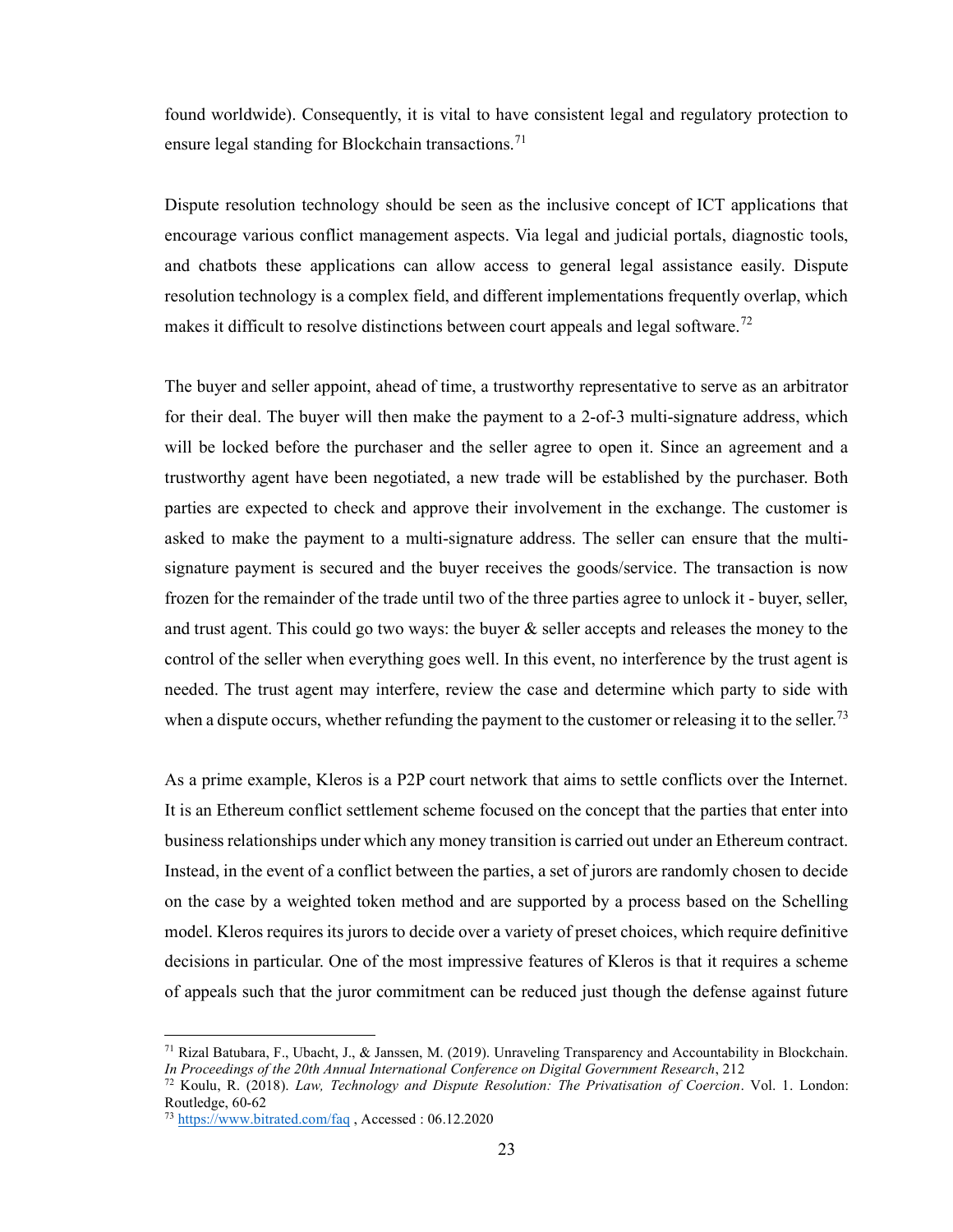found worldwide). Consequently, it is vital to have consistent legal and regulatory protection to ensure legal standing for Blockchain transactions.<sup>71</sup>

Dispute resolution technology should be seen as the inclusive concept of ICT applications that encourage various conflict management aspects. Via legal and judicial portals, diagnostic tools, and chatbots these applications can allow access to general legal assistance easily. Dispute resolution technology is a complex field, and different implementations frequently overlap, which makes it difficult to resolve distinctions between court appeals and legal software.<sup>72</sup>

The buyer and seller appoint, ahead of time, a trustworthy representative to serve as an arbitrator for their deal. The buyer will then make the payment to a 2-of-3 multi-signature address, which will be locked before the purchaser and the seller agree to open it. Since an agreement and a trustworthy agent have been negotiated, a new trade will be established by the purchaser. Both parties are expected to check and approve their involvement in the exchange. The customer is asked to make the payment to a multi-signature address. The seller can ensure that the multisignature payment is secured and the buyer receives the goods/service. The transaction is now frozen for the remainder of the trade until two of the three parties agree to unlock it - buyer, seller, and trust agent. This could go two ways: the buyer & seller accepts and releases the money to the control of the seller when everything goes well. In this event, no interference by the trust agent is needed. The trust agent may interfere, review the case and determine which party to side with when a dispute occurs, whether refunding the payment to the customer or releasing it to the seller.<sup>73</sup>

As a prime example, Kleros is a P2P court network that aims to settle conflicts over the Internet. It is an Ethereum conflict settlement scheme focused on the concept that the parties that enter into business relationships under which any money transition is carried out under an Ethereum contract. Instead, in the event of a conflict between the parties, a set of jurors are randomly chosen to decide on the case by a weighted token method and are supported by a process based on the Schelling model. Kleros requires its jurors to decide over a variety of preset choices, which require definitive decisions in particular. One of the most impressive features of Kleros is that it requires a scheme of appeals such that the juror commitment can be reduced just though the defense against future

<sup>&</sup>lt;sup>71</sup> Rizal Batubara, F., Ubacht, J., & Janssen, M. (2019). Unraveling Transparency and Accountability in Blockchain. In Proceedings of the 20th Annual International Conference on Digital Government Research, 212

 $72$  Koulu, R. (2018). Law, Technology and Dispute Resolution: The Privatisation of Coercion. Vol. 1. London: Routledge, 60-62

<sup>73</sup> https://www.bitrated.com/faq , Accessed : 06.12.2020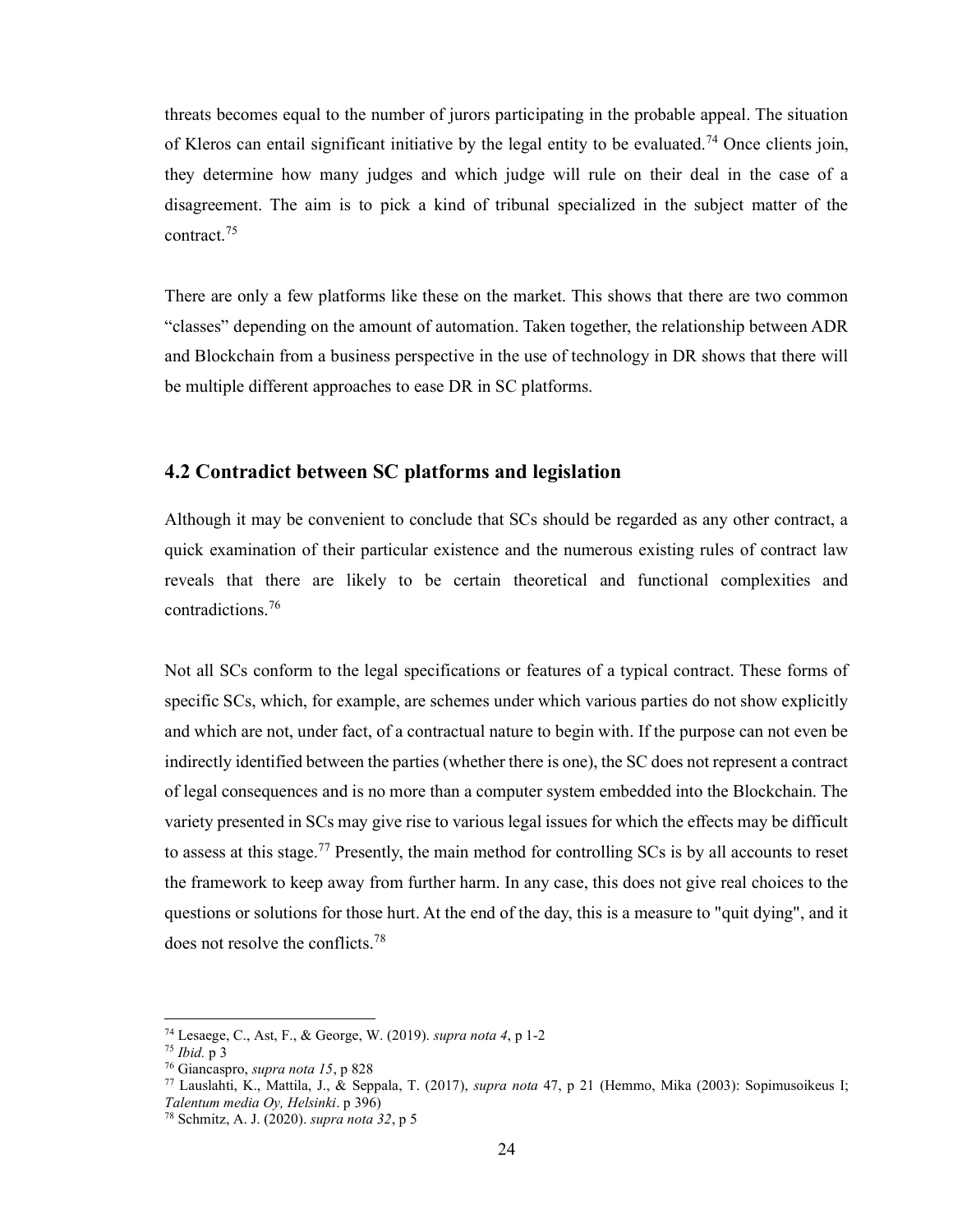threats becomes equal to the number of jurors participating in the probable appeal. The situation of Kleros can entail significant initiative by the legal entity to be evaluated.<sup>74</sup> Once clients join, they determine how many judges and which judge will rule on their deal in the case of a disagreement. The aim is to pick a kind of tribunal specialized in the subject matter of the contract.<sup>75</sup>

There are only a few platforms like these on the market. This shows that there are two common "classes" depending on the amount of automation. Taken together, the relationship between ADR and Blockchain from a business perspective in the use of technology in DR shows that there will be multiple different approaches to ease DR in SC platforms.

#### 4.2 Contradict between SC platforms and legislation

Although it may be convenient to conclude that SCs should be regarded as any other contract, a quick examination of their particular existence and the numerous existing rules of contract law reveals that there are likely to be certain theoretical and functional complexities and contradictions.<sup>76</sup>

Not all SCs conform to the legal specifications or features of a typical contract. These forms of specific SCs, which, for example, are schemes under which various parties do not show explicitly and which are not, under fact, of a contractual nature to begin with. If the purpose can not even be indirectly identified between the parties (whether there is one), the SC does not represent a contract of legal consequences and is no more than a computer system embedded into the Blockchain. The variety presented in SCs may give rise to various legal issues for which the effects may be difficult to assess at this stage.<sup>77</sup> Presently, the main method for controlling SCs is by all accounts to reset the framework to keep away from further harm. In any case, this does not give real choices to the questions or solutions for those hurt. At the end of the day, this is a measure to "quit dying", and it does not resolve the conflicts.<sup>78</sup>

<sup>74</sup> Lesaege, C., Ast, F., & George, W. (2019). supra nota 4, p 1-2

 $75$  *Ibid.* p  $3$ 

<sup>76</sup> Giancaspro, supra nota 15, p 828

<sup>77</sup> Lauslahti, K., Mattila, J., & Seppala, T. (2017), supra nota 47, p 21 (Hemmo, Mika (2003): Sopimusoikeus I; Talentum media Oy, Helsinki. p 396)

<sup>78</sup> Schmitz, A. J. (2020). supra nota 32, p 5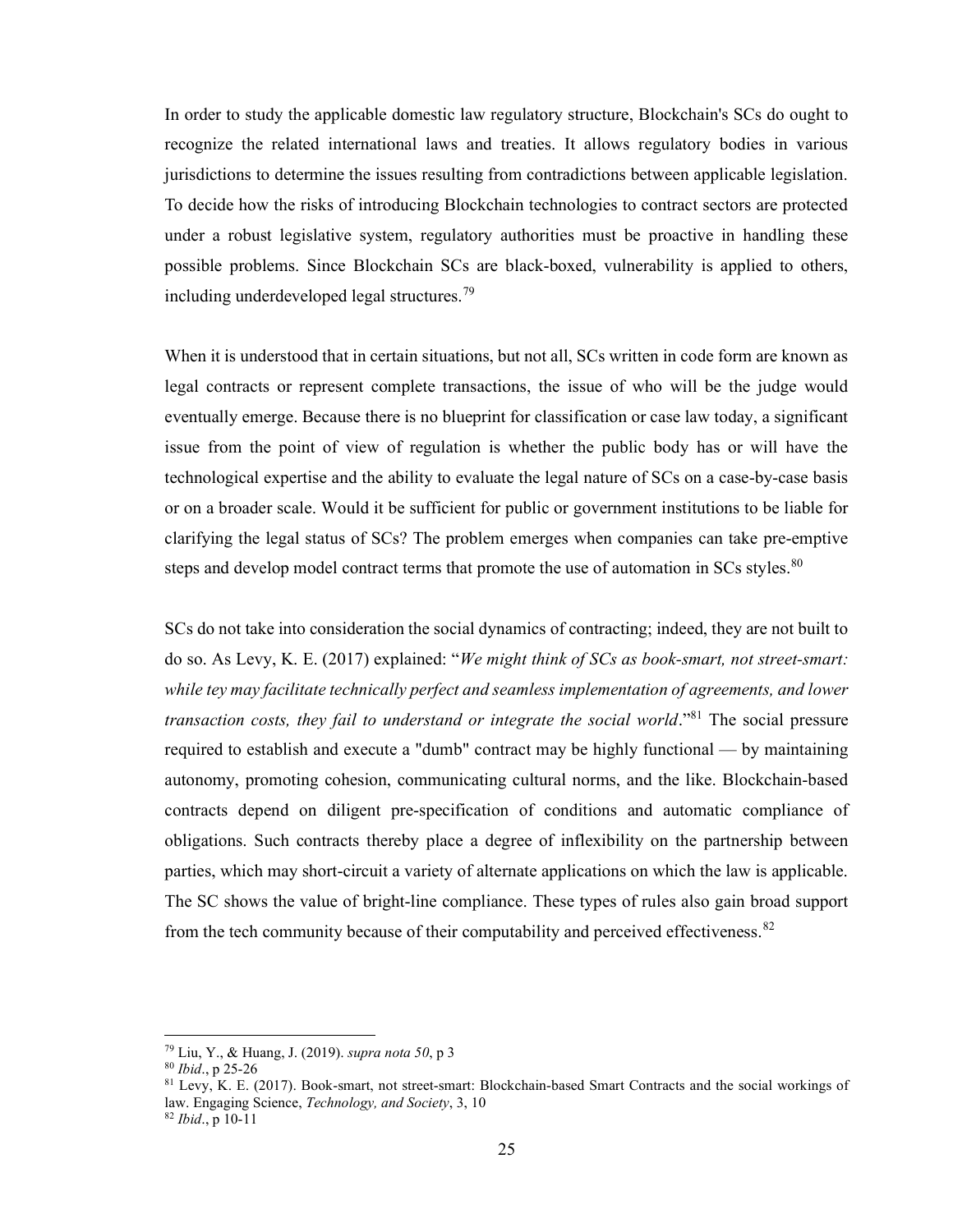In order to study the applicable domestic law regulatory structure, Blockchain's SCs do ought to recognize the related international laws and treaties. It allows regulatory bodies in various jurisdictions to determine the issues resulting from contradictions between applicable legislation. To decide how the risks of introducing Blockchain technologies to contract sectors are protected under a robust legislative system, regulatory authorities must be proactive in handling these possible problems. Since Blockchain SCs are black-boxed, vulnerability is applied to others, including underdeveloped legal structures.<sup>79</sup>

When it is understood that in certain situations, but not all, SCs written in code form are known as legal contracts or represent complete transactions, the issue of who will be the judge would eventually emerge. Because there is no blueprint for classification or case law today, a significant issue from the point of view of regulation is whether the public body has or will have the technological expertise and the ability to evaluate the legal nature of SCs on a case-by-case basis or on a broader scale. Would it be sufficient for public or government institutions to be liable for clarifying the legal status of SCs? The problem emerges when companies can take pre-emptive steps and develop model contract terms that promote the use of automation in SCs styles.<sup>80</sup>

SCs do not take into consideration the social dynamics of contracting; indeed, they are not built to do so. As Levy, K. E. (2017) explained: "We might think of SCs as book-smart, not street-smart: while tey may facilitate technically perfect and seamless implementation of agreements, and lower transaction costs, they fail to understand or integrate the social world."<sup>81</sup> The social pressure required to establish and execute a "dumb" contract may be highly functional — by maintaining autonomy, promoting cohesion, communicating cultural norms, and the like. Blockchain-based contracts depend on diligent pre-specification of conditions and automatic compliance of obligations. Such contracts thereby place a degree of inflexibility on the partnership between parties, which may short-circuit a variety of alternate applications on which the law is applicable. The SC shows the value of bright-line compliance. These types of rules also gain broad support from the tech community because of their computability and perceived effectiveness.  $82$ 

 $79$  Liu, Y., & Huang, J. (2019). *supra nota* 50, p 3

 $80$  *Ibid.*, p 25-26

<sup>&</sup>lt;sup>81</sup> Levy, K. E. (2017). Book-smart, not street-smart: Blockchain-based Smart Contracts and the social workings of law. Engaging Science, Technology, and Society, 3, 10

 $82$  *Ibid.*, p 10-11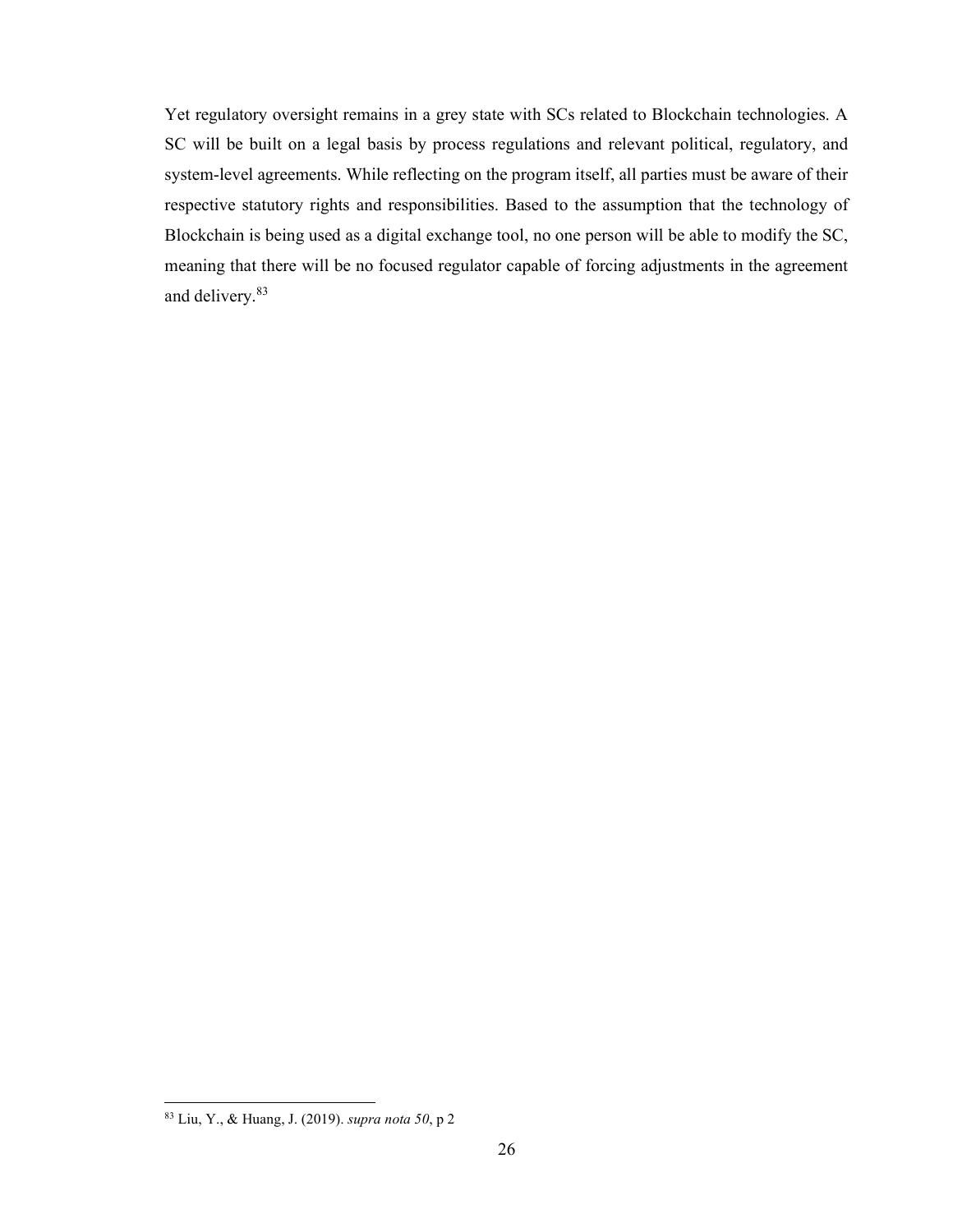Yet regulatory oversight remains in a grey state with SCs related to Blockchain technologies. A SC will be built on a legal basis by process regulations and relevant political, regulatory, and system-level agreements. While reflecting on the program itself, all parties must be aware of their respective statutory rights and responsibilities. Based to the assumption that the technology of Blockchain is being used as a digital exchange tool, no one person will be able to modify the SC, meaning that there will be no focused regulator capable of forcing adjustments in the agreement and delivery.<sup>83</sup>

<sup>83</sup> Liu, Y., & Huang, J. (2019). supra nota 50, p 2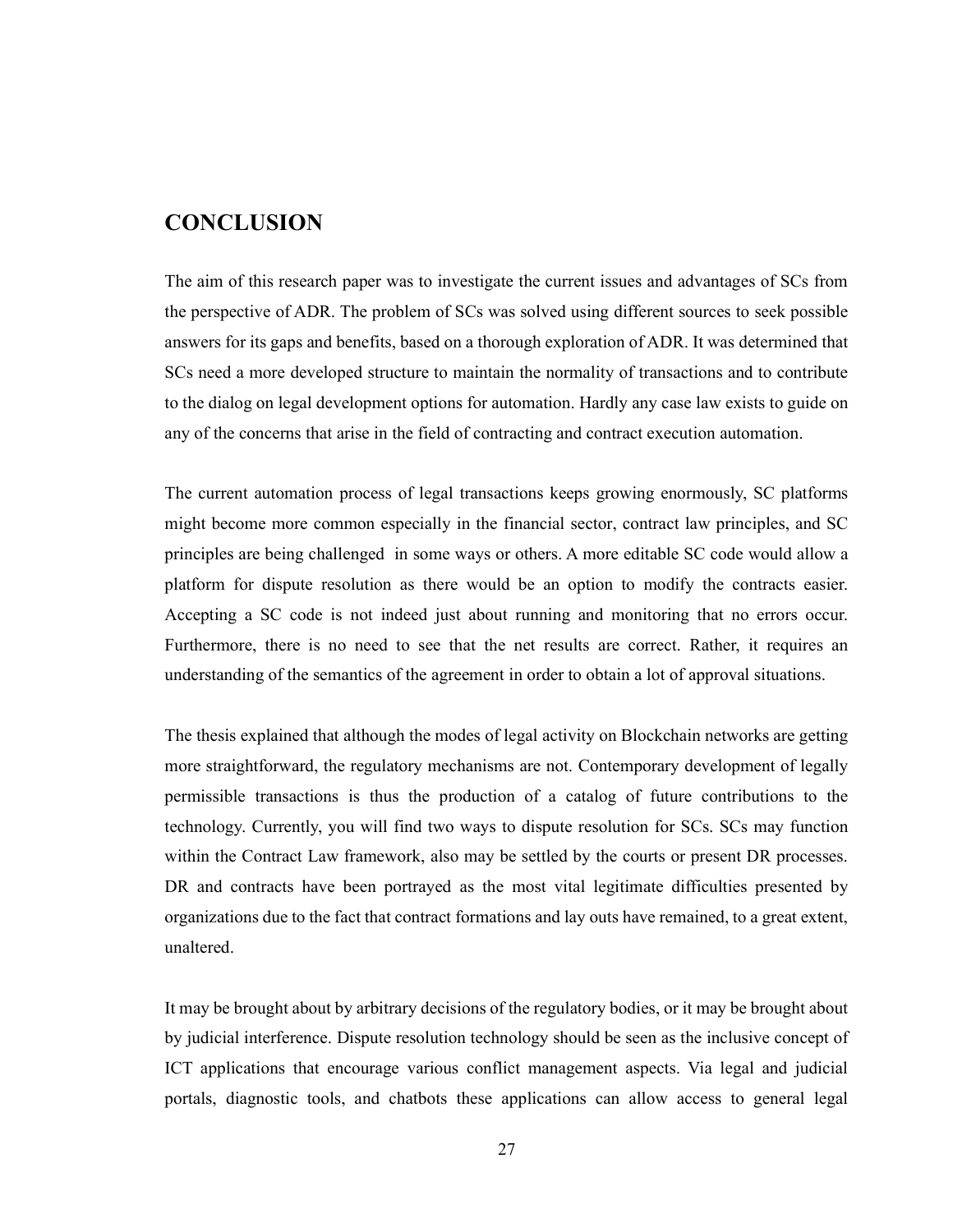## **CONCLUSION**

The aim of this research paper was to investigate the current issues and advantages of SCs from the perspective of ADR. The problem of SCs was solved using different sources to seek possible answers for its gaps and benefits, based on a thorough exploration of ADR. It was determined that SCs need a more developed structure to maintain the normality of transactions and to contribute to the dialog on legal development options for automation. Hardly any case law exists to guide on any of the concerns that arise in the field of contracting and contract execution automation.

The current automation process of legal transactions keeps growing enormously, SC platforms might become more common especially in the financial sector, contract law principles, and SC principles are being challenged in some ways or others. A more editable SC code would allow a platform for dispute resolution as there would be an option to modify the contracts easier. Accepting a SC code is not indeed just about running and monitoring that no errors occur. Furthermore, there is no need to see that the net results are correct. Rather, it requires an understanding of the semantics of the agreement in order to obtain a lot of approval situations.

The thesis explained that although the modes of legal activity on Blockchain networks are getting more straightforward, the regulatory mechanisms are not. Contemporary development of legally permissible transactions is thus the production of a catalog of future contributions to the technology. Currently, you will find two ways to dispute resolution for SCs. SCs may function within the Contract Law framework, also may be settled by the courts or present DR processes. DR and contracts have been portrayed as the most vital legitimate difficulties presented by organizations due to the fact that contract formations and lay outs have remained, to a great extent, unaltered.

It may be brought about by arbitrary decisions of the regulatory bodies, or it may be brought about by judicial interference. Dispute resolution technology should be seen as the inclusive concept of ICT applications that encourage various conflict management aspects. Via legal and judicial portals, diagnostic tools, and chatbots these applications can allow access to general legal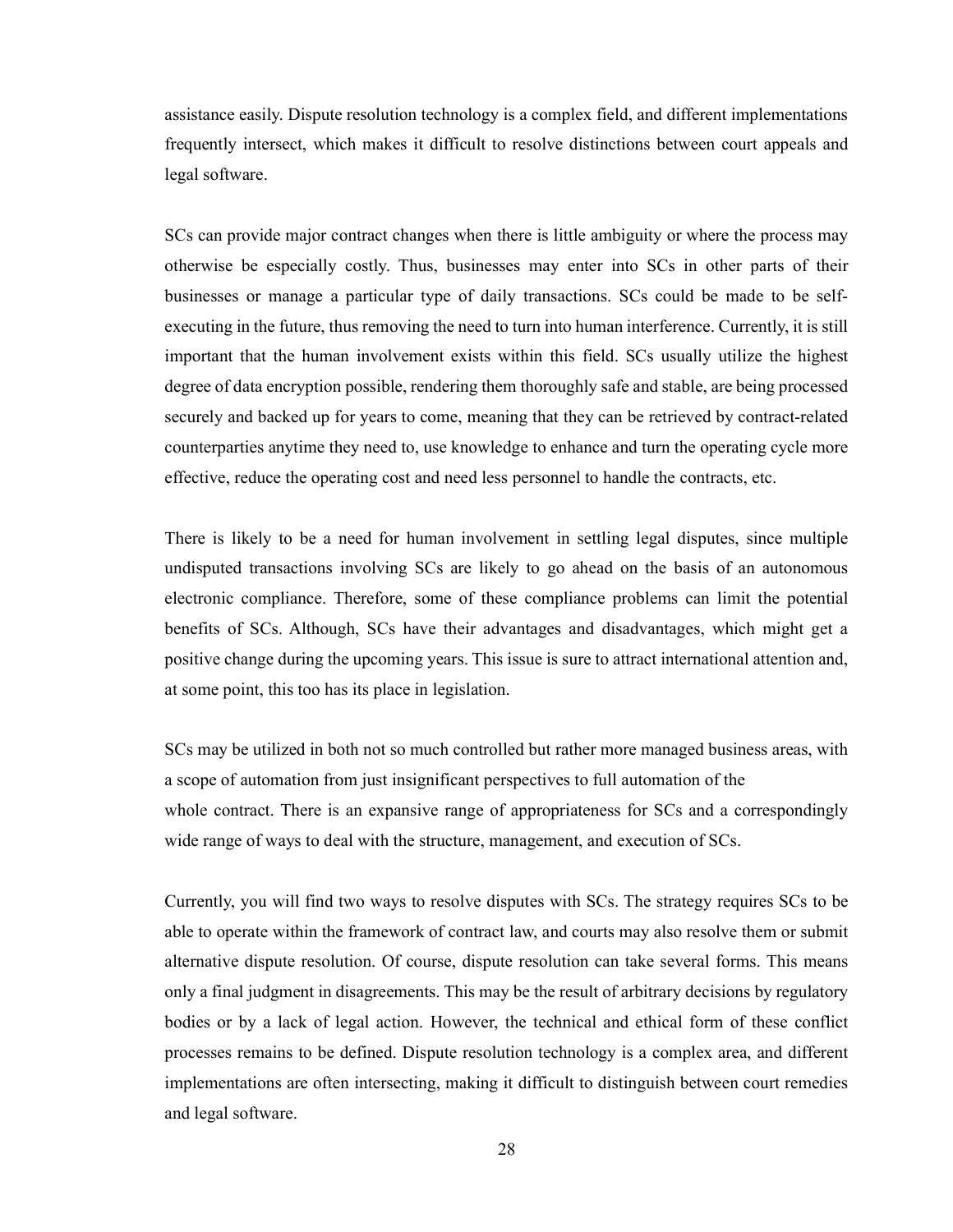assistance easily. Dispute resolution technology is a complex field, and different implementations frequently intersect, which makes it difficult to resolve distinctions between court appeals and legal software.

SCs can provide major contract changes when there is little ambiguity or where the process may otherwise be especially costly. Thus, businesses may enter into SCs in other parts of their businesses or manage a particular type of daily transactions. SCs could be made to be selfexecuting in the future, thus removing the need to turn into human interference. Currently, it is still important that the human involvement exists within this field. SCs usually utilize the highest degree of data encryption possible, rendering them thoroughly safe and stable, are being processed securely and backed up for years to come, meaning that they can be retrieved by contract-related counterparties anytime they need to, use knowledge to enhance and turn the operating cycle more effective, reduce the operating cost and need less personnel to handle the contracts, etc.

There is likely to be a need for human involvement in settling legal disputes, since multiple undisputed transactions involving SCs are likely to go ahead on the basis of an autonomous electronic compliance. Therefore, some of these compliance problems can limit the potential benefits of SCs. Although, SCs have their advantages and disadvantages, which might get a positive change during the upcoming years. This issue is sure to attract international attention and, at some point, this too has its place in legislation.

SCs may be utilized in both not so much controlled but rather more managed business areas, with a scope of automation from just insignificant perspectives to full automation of the whole contract. There is an expansive range of appropriateness for SCs and a correspondingly wide range of ways to deal with the structure, management, and execution of SCs.

Currently, you will find two ways to resolve disputes with SCs. The strategy requires SCs to be able to operate within the framework of contract law, and courts may also resolve them or submit alternative dispute resolution. Of course, dispute resolution can take several forms. This means only a final judgment in disagreements. This may be the result of arbitrary decisions by regulatory bodies or by a lack of legal action. However, the technical and ethical form of these conflict processes remains to be defined. Dispute resolution technology is a complex area, and different implementations are often intersecting, making it difficult to distinguish between court remedies and legal software.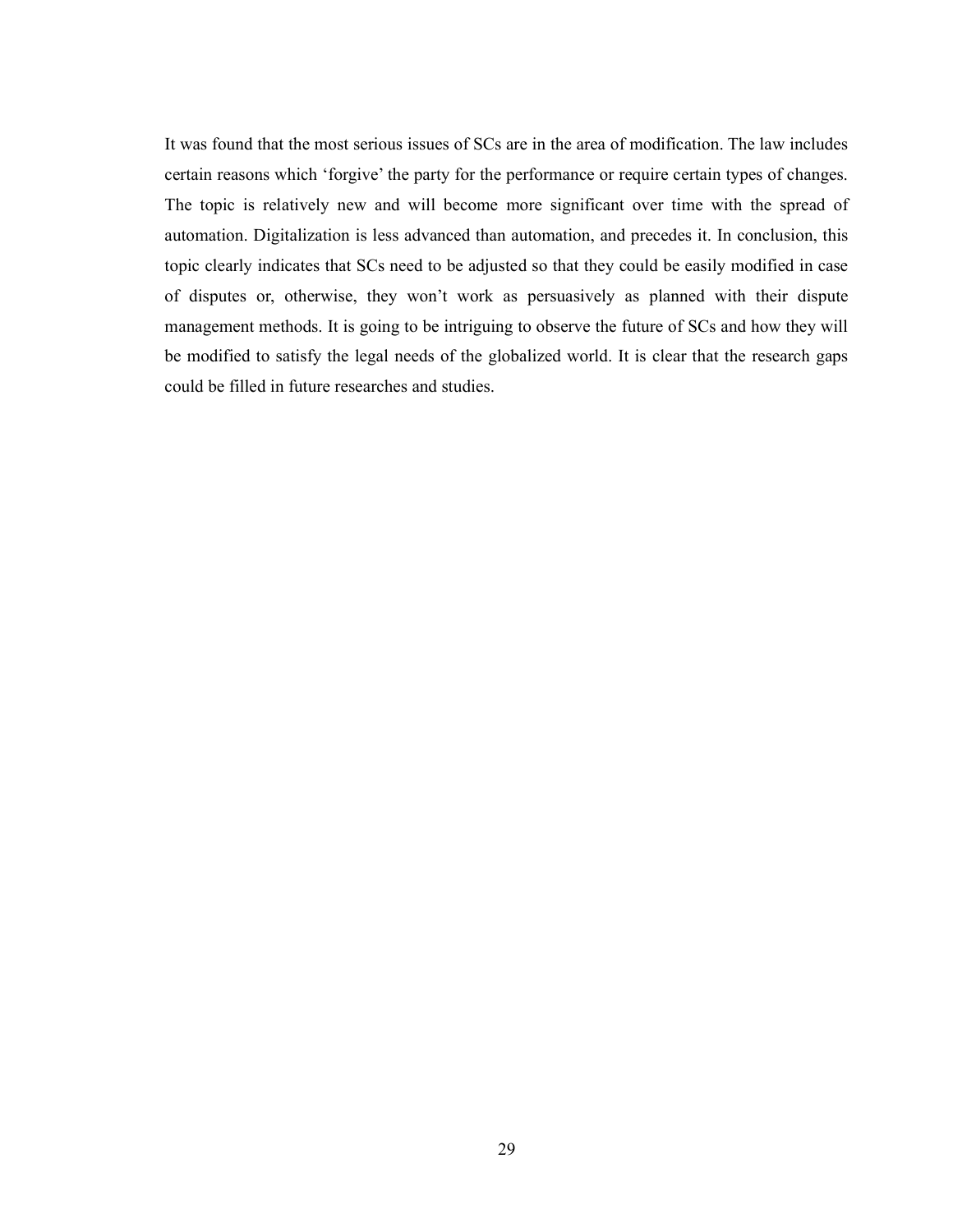It was found that the most serious issues of SCs are in the area of modification. The law includes certain reasons which 'forgive' the party for the performance or require certain types of changes. The topic is relatively new and will become more significant over time with the spread of automation. Digitalization is less advanced than automation, and precedes it. In conclusion, this topic clearly indicates that SCs need to be adjusted so that they could be easily modified in case of disputes or, otherwise, they won't work as persuasively as planned with their dispute management methods. It is going to be intriguing to observe the future of SCs and how they will be modified to satisfy the legal needs of the globalized world. It is clear that the research gaps could be filled in future researches and studies.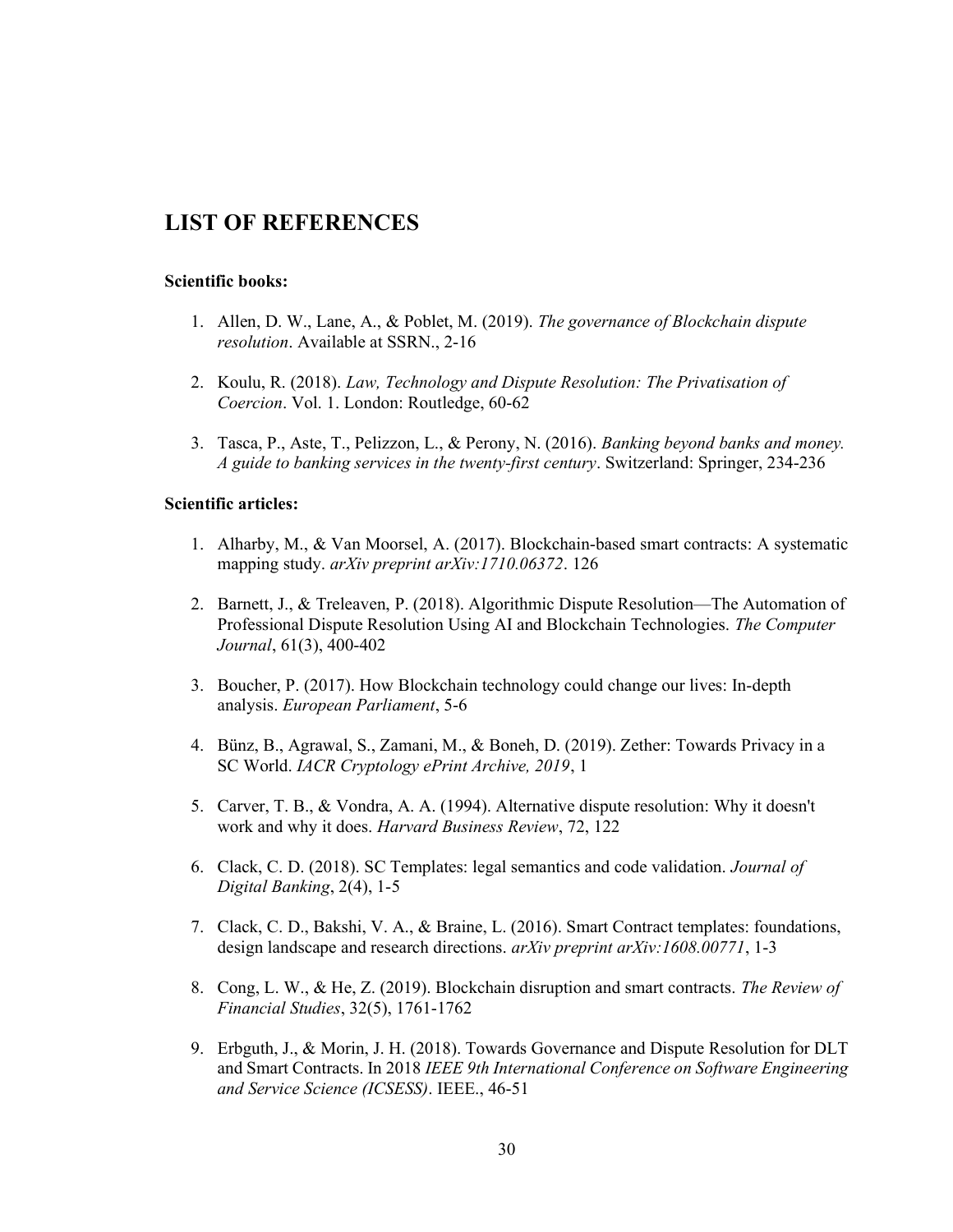## LIST OF REFERENCES

#### Scientific books:

- 1. Allen, D. W., Lane, A., & Poblet, M. (2019). The governance of Blockchain dispute resolution. Available at SSRN., 2-16
- 2. Koulu, R. (2018). Law, Technology and Dispute Resolution: The Privatisation of Coercion. Vol. 1. London: Routledge, 60-62
- 3. Tasca, P., Aste, T., Pelizzon, L., & Perony, N. (2016). Banking beyond banks and money. A guide to banking services in the twenty-first century. Switzerland: Springer, 234-236

#### Scientific articles:

- 1. Alharby, M., & Van Moorsel, A. (2017). Blockchain-based smart contracts: A systematic mapping study. arXiv preprint arXiv:1710.06372. 126
- 2. Barnett, J., & Treleaven, P. (2018). Algorithmic Dispute Resolution—The Automation of Professional Dispute Resolution Using AI and Blockchain Technologies. The Computer Journal, 61(3), 400-402
- 3. Boucher, P. (2017). How Blockchain technology could change our lives: In-depth analysis. European Parliament, 5-6
- 4. Bünz, B., Agrawal, S., Zamani, M., & Boneh, D. (2019). Zether: Towards Privacy in a SC World. IACR Cryptology ePrint Archive, 2019, 1
- 5. Carver, T. B., & Vondra, A. A. (1994). Alternative dispute resolution: Why it doesn't work and why it does. Harvard Business Review, 72, 122
- 6. Clack, C. D. (2018). SC Templates: legal semantics and code validation. Journal of Digital Banking, 2(4), 1-5
- 7. Clack, C. D., Bakshi, V. A., & Braine, L. (2016). Smart Contract templates: foundations, design landscape and research directions. arXiv preprint arXiv:1608.00771, 1-3
- 8. Cong, L. W., & He, Z. (2019). Blockchain disruption and smart contracts. The Review of Financial Studies, 32(5), 1761-1762
- 9. Erbguth, J., & Morin, J. H. (2018). Towards Governance and Dispute Resolution for DLT and Smart Contracts. In 2018 IEEE 9th International Conference on Software Engineering and Service Science (ICSESS). IEEE., 46-51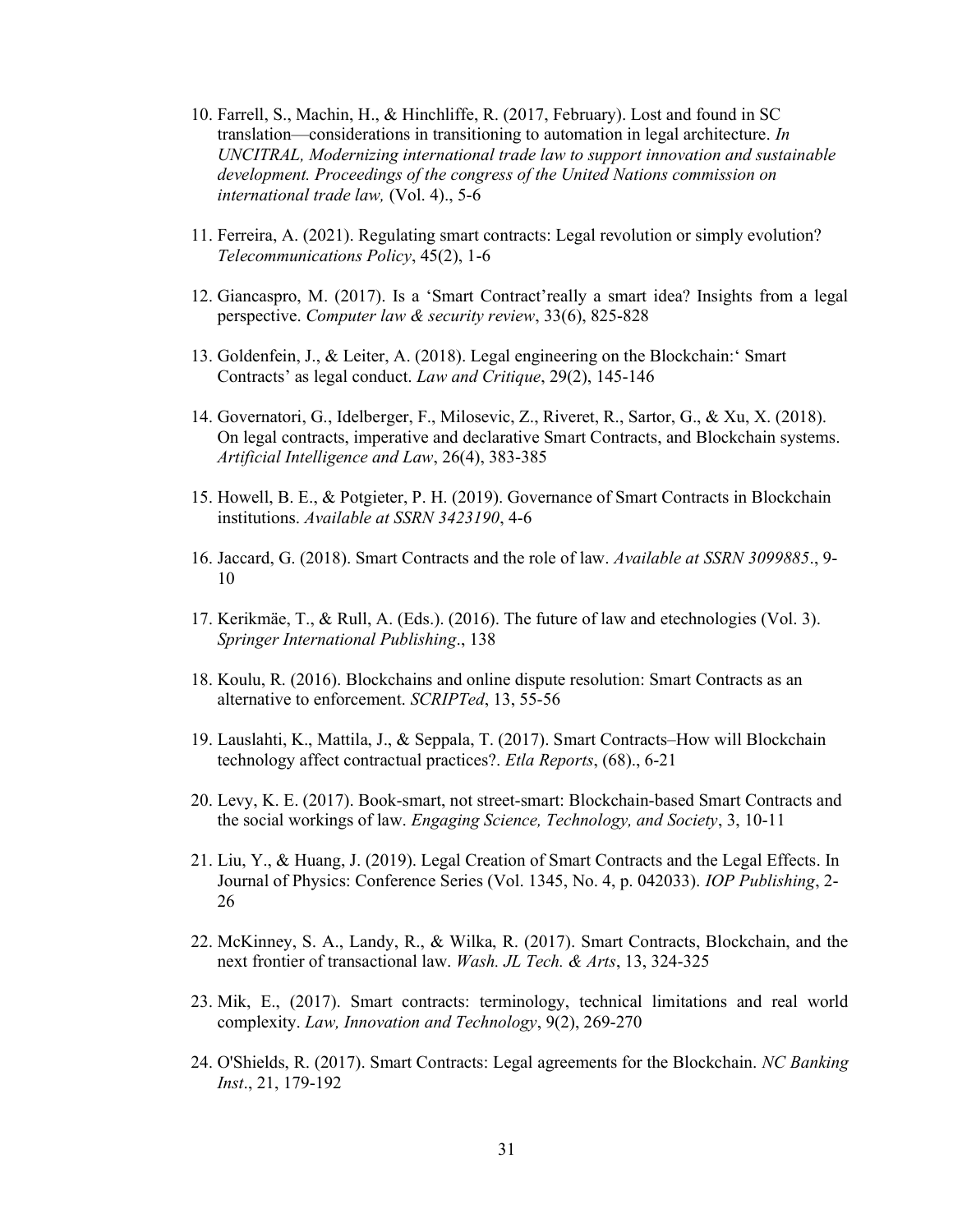- 10. Farrell, S., Machin, H., & Hinchliffe, R. (2017, February). Lost and found in SC translation—considerations in transitioning to automation in legal architecture. In UNCITRAL, Modernizing international trade law to support innovation and sustainable development. Proceedings of the congress of the United Nations commission on international trade law, (Vol. 4)., 5-6
- 11. Ferreira, A. (2021). Regulating smart contracts: Legal revolution or simply evolution? Telecommunications Policy, 45(2), 1-6
- 12. Giancaspro, M. (2017). Is a 'Smart Contract'really a smart idea? Insights from a legal perspective. Computer law & security review, 33(6), 825-828
- 13. Goldenfein, J., & Leiter, A. (2018). Legal engineering on the Blockchain:' Smart Contracts' as legal conduct. Law and Critique, 29(2), 145-146
- 14. Governatori, G., Idelberger, F., Milosevic, Z., Riveret, R., Sartor, G., & Xu, X. (2018). On legal contracts, imperative and declarative Smart Contracts, and Blockchain systems. Artificial Intelligence and Law, 26(4), 383-385
- 15. Howell, B. E., & Potgieter, P. H. (2019). Governance of Smart Contracts in Blockchain institutions. Available at SSRN 3423190, 4-6
- 16. Jaccard, G. (2018). Smart Contracts and the role of law. Available at SSRN 3099885., 9- 10
- 17. Kerikmäe, T., & Rull, A. (Eds.). (2016). The future of law and etechnologies (Vol. 3). Springer International Publishing., 138
- 18. Koulu, R. (2016). Blockchains and online dispute resolution: Smart Contracts as an alternative to enforcement. SCRIPTed, 13, 55-56
- 19. Lauslahti, K., Mattila, J., & Seppala, T. (2017). Smart Contracts–How will Blockchain technology affect contractual practices?. Etla Reports, (68)., 6-21
- 20. Levy, K. E. (2017). Book-smart, not street-smart: Blockchain-based Smart Contracts and the social workings of law. Engaging Science, Technology, and Society, 3, 10-11
- 21. Liu, Y., & Huang, J. (2019). Legal Creation of Smart Contracts and the Legal Effects. In Journal of Physics: Conference Series (Vol. 1345, No. 4, p. 042033). IOP Publishing, 2- 26
- 22. McKinney, S. A., Landy, R., & Wilka, R. (2017). Smart Contracts, Blockchain, and the next frontier of transactional law. Wash. JL Tech. & Arts, 13, 324-325
- 23. Mik, E., (2017). Smart contracts: terminology, technical limitations and real world complexity. Law, Innovation and Technology, 9(2), 269-270
- 24. O'Shields, R. (2017). Smart Contracts: Legal agreements for the Blockchain. NC Banking Inst., 21, 179-192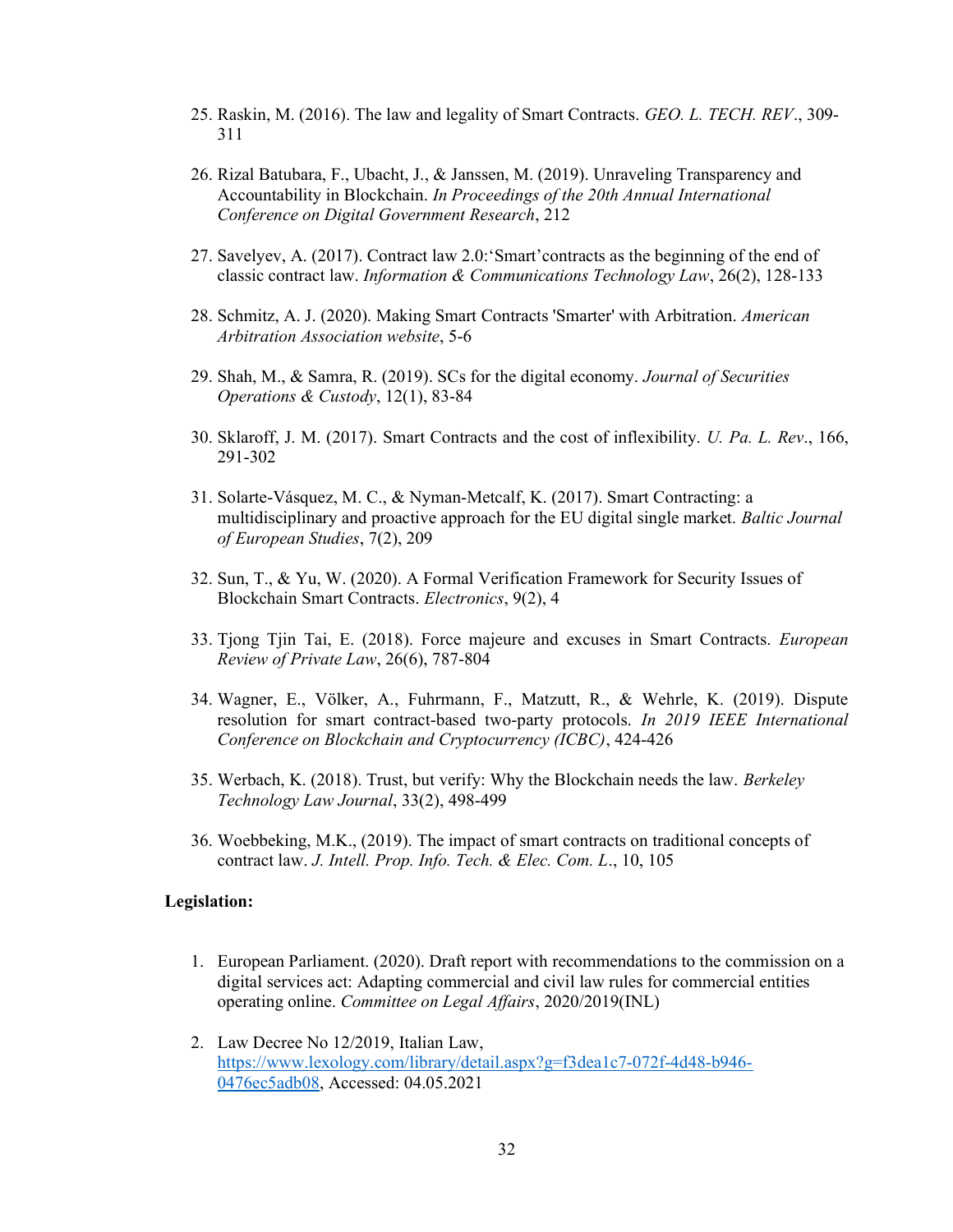- 25. Raskin, M. (2016). The law and legality of Smart Contracts. GEO. L. TECH. REV., 309- 311
- 26. Rizal Batubara, F., Ubacht, J., & Janssen, M. (2019). Unraveling Transparency and Accountability in Blockchain. In Proceedings of the 20th Annual International Conference on Digital Government Research, 212
- 27. Savelyev, A. (2017). Contract law 2.0:'Smart'contracts as the beginning of the end of classic contract law. Information & Communications Technology Law, 26(2), 128-133
- 28. Schmitz, A. J. (2020). Making Smart Contracts 'Smarter' with Arbitration. American Arbitration Association website, 5-6
- 29. Shah, M., & Samra, R. (2019). SCs for the digital economy. Journal of Securities Operations & Custody, 12(1), 83-84
- 30. Sklaroff, J. M. (2017). Smart Contracts and the cost of inflexibility. U. Pa. L. Rev., 166, 291-302
- 31. Solarte-Vásquez, M. C., & Nyman-Metcalf, K. (2017). Smart Contracting: a multidisciplinary and proactive approach for the EU digital single market. Baltic Journal of European Studies, 7(2), 209
- 32. Sun, T., & Yu, W. (2020). A Formal Verification Framework for Security Issues of Blockchain Smart Contracts. Electronics, 9(2), 4
- 33. Tjong Tjin Tai, E. (2018). Force majeure and excuses in Smart Contracts. European Review of Private Law, 26(6), 787-804
- 34. Wagner, E., Völker, A., Fuhrmann, F., Matzutt, R., & Wehrle, K. (2019). Dispute resolution for smart contract-based two-party protocols. In 2019 IEEE International Conference on Blockchain and Cryptocurrency (ICBC), 424-426
- 35. Werbach, K. (2018). Trust, but verify: Why the Blockchain needs the law. Berkeley Technology Law Journal, 33(2), 498-499
- 36. Woebbeking, M.K., (2019). The impact of smart contracts on traditional concepts of contract law. J. Intell. Prop. Info. Tech. & Elec. Com. L., 10, 105

#### Legislation:

- 1. European Parliament. (2020). Draft report with recommendations to the commission on a digital services act: Adapting commercial and civil law rules for commercial entities operating online. Committee on Legal Affairs, 2020/2019(INL)
- 2. Law Decree No 12/2019, Italian Law, https://www.lexology.com/library/detail.aspx?g=f3dea1c7-072f-4d48-b946- 0476ec5adb08, Accessed: 04.05.2021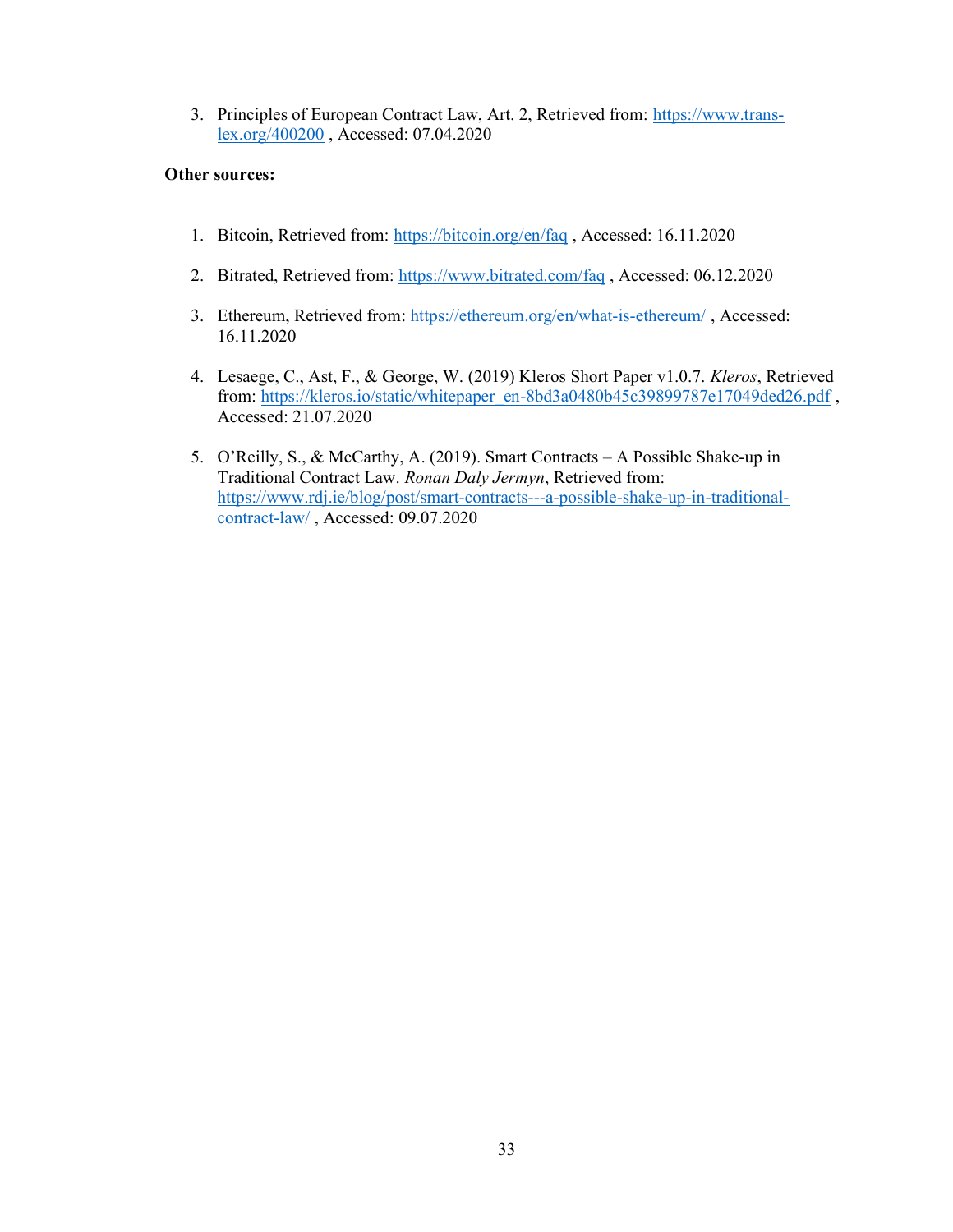3. Principles of European Contract Law, Art. 2, Retrieved from: https://www.translex.org/400200 , Accessed: 07.04.2020

#### Other sources:

- 1. Bitcoin, Retrieved from: https://bitcoin.org/en/faq , Accessed: 16.11.2020
- 2. Bitrated, Retrieved from: https://www.bitrated.com/faq , Accessed: 06.12.2020
- 3. Ethereum, Retrieved from: https://ethereum.org/en/what-is-ethereum/ , Accessed: 16.11.2020
- 4. Lesaege, C., Ast, F., & George, W. (2019) Kleros Short Paper v1.0.7. Kleros, Retrieved from: https://kleros.io/static/whitepaper\_en-8bd3a0480b45c39899787e17049ded26.pdf , Accessed: 21.07.2020
- 5. O'Reilly, S., & McCarthy, A. (2019). Smart Contracts A Possible Shake-up in Traditional Contract Law. Ronan Daly Jermyn, Retrieved from: https://www.rdj.ie/blog/post/smart-contracts---a-possible-shake-up-in-traditionalcontract-law/ , Accessed: 09.07.2020